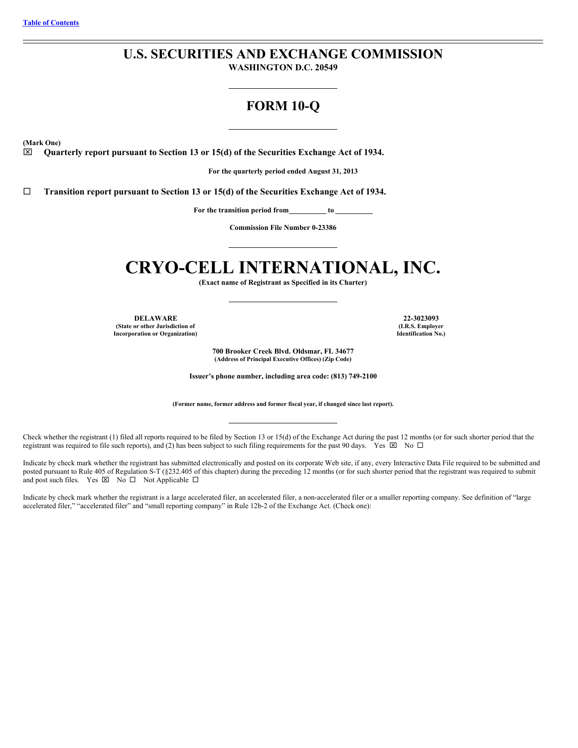# **U.S. SECURITIES AND EXCHANGE COMMISSION**

**WASHINGTON D.C. 20549**

# **FORM 10-Q**

**(Mark One)**

x **Quarterly report pursuant to Section 13 or 15(d) of the Securities Exchange Act of 1934.**

**For the quarterly period ended August 31, 2013**

¨ **Transition report pursuant to Section 13 or 15(d) of the Securities Exchange Act of 1934.**

**For the transition period from to**

**Commission File Number 0-23386**

# **CRYO-CELL INTERNATIONAL, INC.**

**(Exact name of Registrant as Specified in its Charter)**

**DELAWARE 22-3023093 (State or other Jurisdiction of Incorporation or Organization)**

**(I.R.S. Employer Identification No.)**

**700 Brooker Creek Blvd. Oldsmar, FL 34677 (Address of Principal Executive Offices) (Zip Code)**

**Issuer's phone number, including area code: (813) 749-2100**

**(Former name, former address and former fiscal year, if changed since last report).**

Check whether the registrant (1) filed all reports required to be filed by Section 13 or 15(d) of the Exchange Act during the past 12 months (or for such shorter period that the registrant was required to file such reports), and (2) has been subject to such filing requirements for the past 90 days. Yes  $\boxtimes$  No  $\Box$ 

Indicate by check mark whether the registrant has submitted electronically and posted on its corporate Web site, if any, every Interactive Data File required to be submitted and posted pursuant to Rule 405 of Regulation S-T (§232.405 of this chapter) during the preceding 12 months (or for such shorter period that the registrant was required to submit and post such files. Yes  $\boxtimes$  No  $\square$  Not Applicable  $\square$ 

Indicate by check mark whether the registrant is a large accelerated filer, an accelerated filer, a non-accelerated filer or a smaller reporting company. See definition of "large accelerated filer," "accelerated filer" and "small reporting company" in Rule 12b-2 of the Exchange Act. (Check one):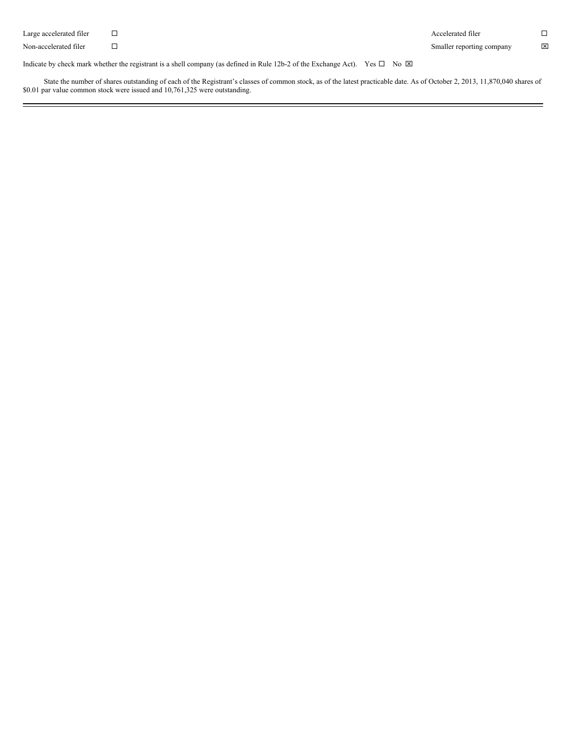Indicate by check mark whether the registrant is a shell company (as defined in Rule 12b-2 of the Exchange Act). Yes  $\Box$  No  $\boxtimes$ 

State the number of shares outstanding of each of the Registrant's classes of common stock, as of the latest practicable date. As of October 2, 2013, 11,870,040 shares of \$0.01 par value common stock were issued and 10,761,325 were outstanding.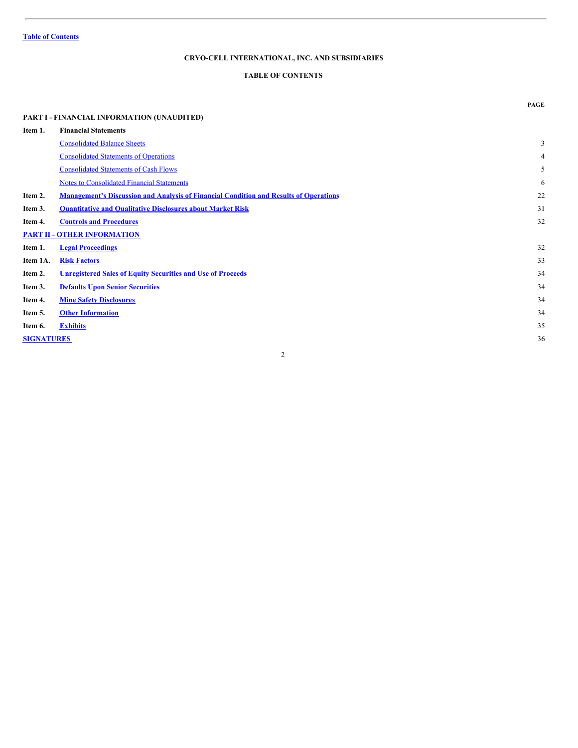#### <span id="page-2-0"></span>**TABLE OF CONTENTS**

**PAGE**

# **PART I - FINANCIAL INFORMATION (UNAUDITED)**

| Item 1.           | <b>Financial Statements</b>                                                                  |    |
|-------------------|----------------------------------------------------------------------------------------------|----|
|                   | <b>Consolidated Balance Sheets</b>                                                           | 3  |
|                   | <b>Consolidated Statements of Operations</b>                                                 | 4  |
|                   | <b>Consolidated Statements of Cash Flows</b>                                                 | 5  |
|                   | <b>Notes to Consolidated Financial Statements</b>                                            | 6  |
| Item 2.           | <b>Management's Discussion and Analysis of Financial Condition and Results of Operations</b> | 22 |
| Item 3.           | <b>Quantitative and Qualitative Disclosures about Market Risk</b>                            | 31 |
| Item 4.           | <b>Controls and Procedures</b>                                                               | 32 |
|                   | <b>PART II - OTHER INFORMATION</b>                                                           |    |
| Item 1.           | <b>Legal Proceedings</b>                                                                     | 32 |
| Item 1A.          | <b>Risk Factors</b>                                                                          | 33 |
| Item 2.           | <b>Unregistered Sales of Equity Securities and Use of Proceeds</b>                           | 34 |
| Item 3.           | <b>Defaults Upon Senior Securities</b>                                                       | 34 |
| Item 4.           | <b>Mine Safety Disclosures</b>                                                               | 34 |
| Item 5.           | <b>Other Information</b>                                                                     | 34 |
| Item 6.           | <b>Exhibits</b>                                                                              | 35 |
| <b>SIGNATURES</b> |                                                                                              | 36 |
|                   |                                                                                              |    |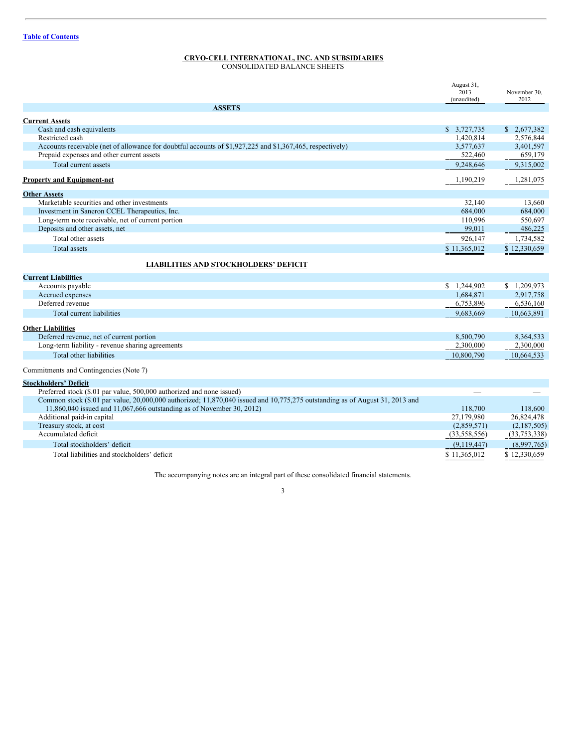<span id="page-3-0"></span>CONSOLIDATED BALANCE SHEETS

|                                                                                                                              | August 31,<br>2013<br>(unaudited) | November 30,<br>2012 |
|------------------------------------------------------------------------------------------------------------------------------|-----------------------------------|----------------------|
| <b>ASSETS</b>                                                                                                                |                                   |                      |
| <b>Current Assets</b>                                                                                                        |                                   |                      |
| Cash and cash equivalents                                                                                                    | \$3,727,735                       | \$2,677,382          |
| Restricted cash                                                                                                              | 1,420,814                         | 2,576,844            |
| Accounts receivable (net of allowance for doubtful accounts of \$1,927,225 and \$1,367,465, respectively)                    | 3,577,637                         | 3,401,597            |
| Prepaid expenses and other current assets                                                                                    | 522,460                           | 659,179              |
| Total current assets                                                                                                         | 9,248,646                         | 9,315,002            |
| <b>Property and Equipment-net</b>                                                                                            | 1,190,219                         | 1,281,075            |
| <b>Other Assets</b>                                                                                                          |                                   |                      |
| Marketable securities and other investments                                                                                  | 32.140                            | 13,660               |
| Investment in Saneron CCEL Therapeutics, Inc.                                                                                | 684,000                           | 684,000              |
| Long-term note receivable, net of current portion                                                                            | 110,996                           | 550,697              |
| Deposits and other assets, net                                                                                               | 99,011                            | 486,225              |
| Total other assets                                                                                                           | 926,147                           | 1,734,582            |
| <b>Total</b> assets                                                                                                          | \$11,365,012                      | \$12,330,659         |
| <b>LIABILITIES AND STOCKHOLDERS' DEFICIT</b>                                                                                 |                                   |                      |
| <b>Current Liabilities</b>                                                                                                   |                                   |                      |
| Accounts payable                                                                                                             | \$1,244,902                       | \$1,209,973          |
| Accrued expenses                                                                                                             | 1,684,871                         | 2,917,758            |
| Deferred revenue                                                                                                             | 6,753,896                         | 6,536,160            |
| Total current liabilities                                                                                                    | 9,683,669                         | 10,663,891           |
| <b>Other Liabilities</b>                                                                                                     |                                   |                      |
| Deferred revenue, net of current portion                                                                                     | 8,500,790                         | 8,364,533            |
| Long-term liability - revenue sharing agreements                                                                             | 2,300,000                         | 2,300,000            |
| Total other liabilities                                                                                                      | 10,800,790                        | 10,664,533           |
| Commitments and Contingencies (Note 7)                                                                                       |                                   |                      |
| <b>Stockholders' Deficit</b>                                                                                                 |                                   |                      |
| Preferred stock (\$.01 par value, 500,000 authorized and none issued)                                                        |                                   |                      |
| Common stock (\$.01 par value, 20,000,000 authorized; 11,870,040 issued and 10,775,275 outstanding as of August 31, 2013 and |                                   |                      |
| 11,860,040 issued and 11,067,666 outstanding as of November 30, 2012)                                                        | 118,700                           | 118,600              |
| Additional paid-in capital                                                                                                   | 27,179,980                        | 26,824,478           |
| Treasury stock, at cost<br>Accumulated deficit                                                                               | (2,859,571)                       | (2,187,505)          |
|                                                                                                                              | (33,558,556)                      | (33, 753, 338)       |

Total stockholders' deficit (9,119,447) (8,997,765)<br>
Total liabilities and stockholders' deficit (8,997,765) (8,997,765) Total liabilities and stockholders' deficit \$ 11,365,012

The accompanying notes are an integral part of these consolidated financial statements.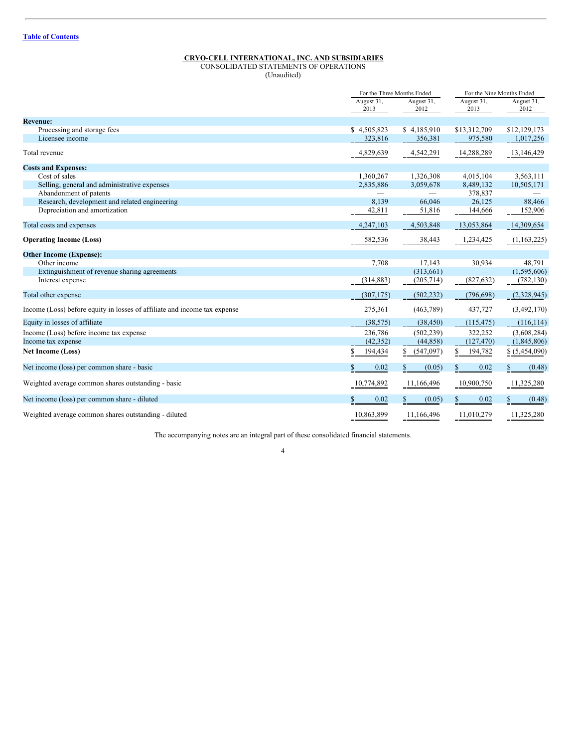<span id="page-4-0"></span>CONSOLIDATED STATEMENTS OF OPERATIONS

(Unaudited)

|                                                                           |                    | For the Three Months Ended        | For the Nine Months Ended |                    |
|---------------------------------------------------------------------------|--------------------|-----------------------------------|---------------------------|--------------------|
|                                                                           | August 31,<br>2013 | August 31,<br>2012                | August 31,<br>2013        | August 31,<br>2012 |
| <b>Revenue:</b>                                                           |                    |                                   |                           |                    |
| Processing and storage fees                                               | \$4,505,823        | \$4,185,910                       | \$13,312,709              | \$12,129,173       |
| Licensee income                                                           | 323,816            | 356,381                           | 975,580                   | 1,017,256          |
| Total revenue                                                             | 4,829,639          | 4,542,291                         | 14,288,289                | 13,146,429         |
| <b>Costs and Expenses:</b>                                                |                    |                                   |                           |                    |
| Cost of sales                                                             | 1,360,267          | 1,326,308                         | 4,015,104                 | 3,563,111          |
| Selling, general and administrative expenses                              | 2,835,886          | 3,059,678                         | 8,489,132                 | 10,505,171         |
| Abandonment of patents                                                    |                    |                                   | 378,837                   |                    |
| Research, development and related engineering                             | 8,139              | 66,046                            | 26,125                    | 88,466             |
| Depreciation and amortization                                             | 42,811             | 51,816                            | 144,666                   | 152,906            |
| Total costs and expenses                                                  | 4,247,103          | 4,503,848                         | 13,053,864                | 14,309,654         |
| <b>Operating Income (Loss)</b>                                            | 582,536            | 38,443                            | 1,234,425                 | (1,163,225)        |
| <b>Other Income (Expense):</b>                                            |                    |                                   |                           |                    |
| Other income                                                              | 7,708              | 17,143                            | 30,934                    | 48,791             |
| Extinguishment of revenue sharing agreements                              |                    | (313, 661)                        |                           | (1,595,606)        |
| Interest expense                                                          | (314, 883)         | (205, 714)                        | (827, 632)                | (782, 130)         |
| Total other expense                                                       | (307, 175)         | (502, 232)                        | (796, 698)                | (2,328,945)        |
| Income (Loss) before equity in losses of affiliate and income tax expense | 275,361            | (463,789)                         | 437,727                   | (3,492,170)        |
| Equity in losses of affiliate                                             | (38, 575)          | (38, 450)                         | (115, 475)                | (116, 114)         |
| Income (Loss) before income tax expense                                   | 236,786            | (502, 239)                        | 322,252                   | (3,608,284)        |
| Income tax expense                                                        | (42, 352)          | (44, 858)                         | (127, 470)                | (1,845,806)        |
| <b>Net Income (Loss)</b>                                                  | \$<br>194,434      | \$<br>(547,097)                   | 194,782<br>\$             | \$ (5,454,090)     |
| Net income (loss) per common share - basic                                | 0.02<br>\$         | $\overline{\mathbf{z}}$<br>(0.05) | 0.02                      | (0.48)             |
| Weighted average common shares outstanding - basic                        | 10,774,892         | 11,166,496                        | 10,900,750                | 11,325,280         |
| Net income (loss) per common share - diluted                              | 0.02<br>S          | \$<br>(0.05)                      | 0.02<br>\$.               | (0.48)             |
| Weighted average common shares outstanding - diluted                      | 10.863.899         | 11.166.496                        | 11.010.279                | 11,325,280         |

The accompanying notes are an integral part of these consolidated financial statements.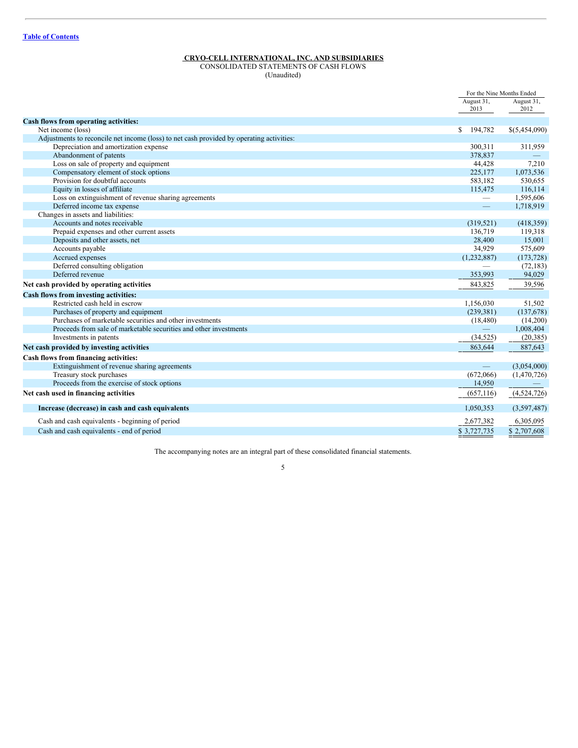#### <span id="page-5-0"></span>CONSOLIDATED STATEMENTS OF CASH FLOWS

(Unaudited)

|                                                                                          |                          | For the Nine Months Ended |
|------------------------------------------------------------------------------------------|--------------------------|---------------------------|
|                                                                                          | August 31,               | August 31,                |
|                                                                                          | 2013                     | 2012                      |
| Cash flows from operating activities:                                                    |                          |                           |
| Net income (loss)                                                                        | 194,782<br>S.            | \$(5,454,090)             |
| Adjustments to reconcile net income (loss) to net cash provided by operating activities: |                          |                           |
| Depreciation and amortization expense                                                    | 300,311                  | 311,959                   |
| Abandonment of patents                                                                   | 378,837                  |                           |
| Loss on sale of property and equipment                                                   | 44,428                   | 7,210                     |
| Compensatory element of stock options                                                    | 225,177                  | 1,073,536                 |
| Provision for doubtful accounts                                                          | 583,182                  | 530,655                   |
| Equity in losses of affiliate                                                            | 115,475                  | 116,114                   |
| Loss on extinguishment of revenue sharing agreements                                     | $\overline{\phantom{0}}$ | 1,595,606                 |
| Deferred income tax expense                                                              |                          | 1,718,919                 |
| Changes in assets and liabilities:                                                       |                          |                           |
| Accounts and notes receivable                                                            | (319, 521)               | (418, 359)                |
| Prepaid expenses and other current assets                                                | 136,719                  | 119,318                   |
| Deposits and other assets, net                                                           | 28,400                   | 15,001                    |
| Accounts payable                                                                         | 34,929                   | 575,609                   |
| Accrued expenses                                                                         | (1,232,887)              | (173, 728)                |
| Deferred consulting obligation                                                           | --                       | (72, 183)                 |
| Deferred revenue                                                                         | 353,993                  | 94,029                    |
| Net cash provided by operating activities                                                | 843,825                  | 39,596                    |
| <b>Cash flows from investing activities:</b>                                             |                          |                           |
| Restricted cash held in escrow                                                           | 1,156,030                | 51,502                    |
| Purchases of property and equipment                                                      | (239, 381)               | (137,678)                 |
| Purchases of marketable securities and other investments                                 | (18, 480)                | (14,200)                  |
| Proceeds from sale of marketable securities and other investments                        |                          | 1,008,404                 |
| Investments in patents                                                                   | (34, 525)                | (20, 385)                 |
| Net cash provided by investing activities                                                | 863,644                  | 887,643                   |
| Cash flows from financing activities:                                                    |                          |                           |
| Extinguishment of revenue sharing agreements                                             |                          | (3,054,000)               |
| Treasury stock purchases                                                                 | (672,066)                | (1,470,726)               |
| Proceeds from the exercise of stock options                                              | 14,950                   |                           |
| Net cash used in financing activities                                                    | (657, 116)               | (4,524,726)               |
|                                                                                          |                          |                           |
| Increase (decrease) in cash and cash equivalents                                         | 1,050,353                | (3,597,487)               |
| Cash and cash equivalents - beginning of period                                          | 2,677,382                | 6,305,095                 |
| Cash and cash equivalents - end of period                                                | \$3,727,735              | \$2,707,608               |

The accompanying notes are an integral part of these consolidated financial statements.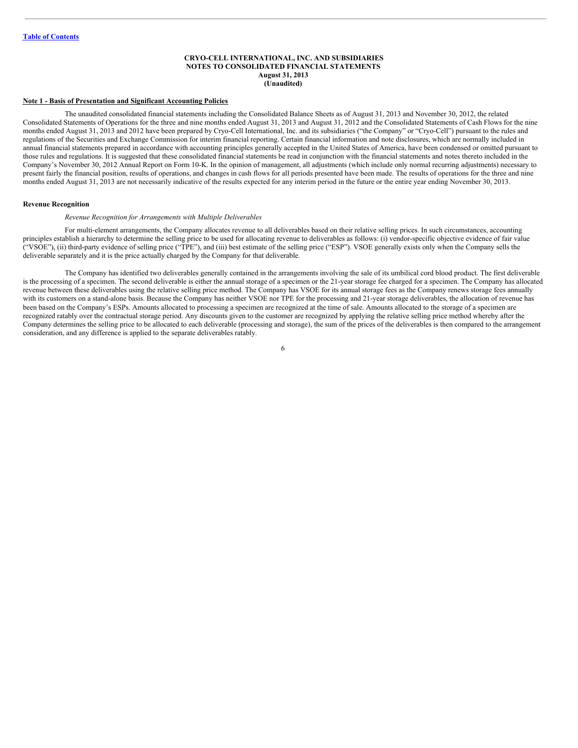#### <span id="page-6-0"></span>**CRYO-CELL INTERNATIONAL, INC. AND SUBSIDIARIES NOTES TO CONSOLIDATED FINANCIAL STATEMENTS August 31, 2013 (Unaudited)**

#### **Note 1 - Basis of Presentation and Significant Accounting Policies**

The unaudited consolidated financial statements including the Consolidated Balance Sheets as of August 31, 2013 and November 30, 2012, the related Consolidated Statements of Operations for the three and nine months ended August 31, 2013 and August 31, 2012 and the Consolidated Statements of Cash Flows for the nine months ended August 31, 2013 and 2012 have been prepared by Cryo-Cell International, Inc. and its subsidiaries ("the Company" or "Cryo-Cell") pursuant to the rules and regulations of the Securities and Exchange Commission for interim financial reporting. Certain financial information and note disclosures, which are normally included in annual financial statements prepared in accordance with accounting principles generally accepted in the United States of America, have been condensed or omitted pursuant to those rules and regulations. It is suggested that these consolidated financial statements be read in conjunction with the financial statements and notes thereto included in the Company's November 30, 2012 Annual Report on Form 10-K. In the opinion of management, all adjustments (which include only normal recurring adjustments) necessary to present fairly the financial position, results of operations, and changes in cash flows for all periods presented have been made. The results of operations for the three and nine months ended August 31, 2013 are not necessarily indicative of the results expected for any interim period in the future or the entire year ending November 30, 2013.

#### **Revenue Recognition**

#### *Revenue Recognition for Arrangements with Multiple Deliverables*

For multi-element arrangements, the Company allocates revenue to all deliverables based on their relative selling prices. In such circumstances, accounting principles establish a hierarchy to determine the selling price to be used for allocating revenue to deliverables as follows: (i) vendor-specific objective evidence of fair value ("VSOE"), (ii) third-party evidence of selling price ("TPE"), and (iii) best estimate of the selling price ("ESP"). VSOE generally exists only when the Company sells the deliverable separately and it is the price actually charged by the Company for that deliverable.

The Company has identified two deliverables generally contained in the arrangements involving the sale of its umbilical cord blood product. The first deliverable is the processing of a specimen. The second deliverable is either the annual storage of a specimen or the 21-year storage fee charged for a specimen. The Company has allocated revenue between these deliverables using the relative selling price method. The Company has VSOE for its annual storage fees as the Company renews storage fees annually with its customers on a stand-alone basis. Because the Company has neither VSOE nor TPE for the processing and 21-year storage deliverables, the allocation of revenue has been based on the Company's ESPs. Amounts allocated to processing a specimen are recognized at the time of sale. Amounts allocated to the storage of a specimen are recognized ratably over the contractual storage period. Any discounts given to the customer are recognized by applying the relative selling price method whereby after the Company determines the selling price to be allocated to each deliverable (processing and storage), the sum of the prices of the deliverables is then compared to the arrangement consideration, and any difference is applied to the separate deliverables ratably.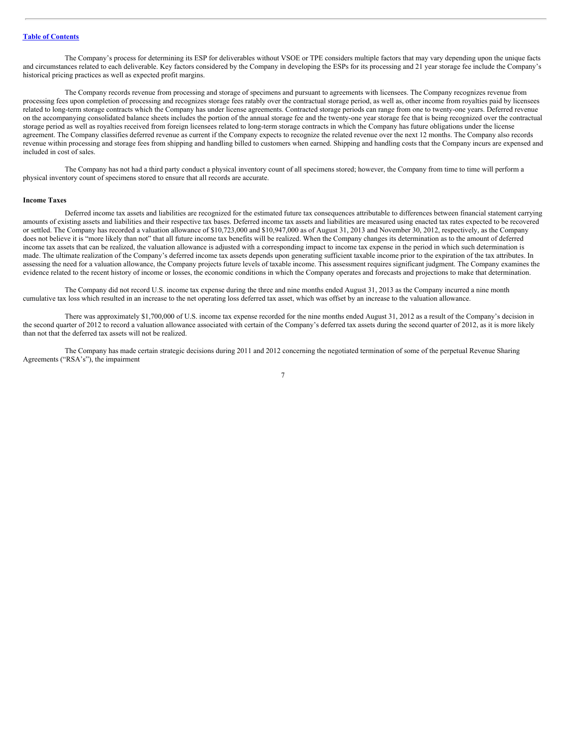The Company's process for determining its ESP for deliverables without VSOE or TPE considers multiple factors that may vary depending upon the unique facts and circumstances related to each deliverable. Key factors considered by the Company in developing the ESPs for its processing and 21 year storage fee include the Company's historical pricing practices as well as expected profit margins.

The Company records revenue from processing and storage of specimens and pursuant to agreements with licensees. The Company recognizes revenue from processing fees upon completion of processing and recognizes storage fees ratably over the contractual storage period, as well as, other income from royalties paid by licensees related to long-term storage contracts which the Company has under license agreements. Contracted storage periods can range from one to twenty-one years. Deferred revenue on the accompanying consolidated balance sheets includes the portion of the annual storage fee and the twenty-one year storage fee that is being recognized over the contractual storage period as well as royalties received from foreign licensees related to long-term storage contracts in which the Company has future obligations under the license agreement. The Company classifies deferred revenue as current if the Company expects to recognize the related revenue over the next 12 months. The Company also records revenue within processing and storage fees from shipping and handling billed to customers when earned. Shipping and handling costs that the Company incurs are expensed and included in cost of sales.

The Company has not had a third party conduct a physical inventory count of all specimens stored; however, the Company from time to time will perform a physical inventory count of specimens stored to ensure that all records are accurate.

#### **Income Taxes**

Deferred income tax assets and liabilities are recognized for the estimated future tax consequences attributable to differences between financial statement carrying amounts of existing assets and liabilities and their respective tax bases. Deferred income tax assets and liabilities are measured using enacted tax rates expected to be recovered or settled. The Company has recorded a valuation allowance of \$10,723,000 and \$10,947,000 as of August 31, 2013 and November 30, 2012, respectively, as the Company does not believe it is "more likely than not" that all future income tax benefits will be realized. When the Company changes its determination as to the amount of deferred income tax assets that can be realized, the valuation allowance is adjusted with a corresponding impact to income tax expense in the period in which such determination is made. The ultimate realization of the Company's deferred income tax assets depends upon generating sufficient taxable income prior to the expiration of the tax attributes. In assessing the need for a valuation allowance, the Company projects future levels of taxable income. This assessment requires significant judgment. The Company examines the evidence related to the recent history of income or losses, the economic conditions in which the Company operates and forecasts and projections to make that determination.

The Company did not record U.S. income tax expense during the three and nine months ended August 31, 2013 as the Company incurred a nine month cumulative tax loss which resulted in an increase to the net operating loss deferred tax asset, which was offset by an increase to the valuation allowance.

There was approximately \$1,700,000 of U.S. income tax expense recorded for the nine months ended August 31, 2012 as a result of the Company's decision in the second quarter of 2012 to record a valuation allowance associated with certain of the Company's deferred tax assets during the second quarter of 2012, as it is more likely than not that the deferred tax assets will not be realized.

The Company has made certain strategic decisions during 2011 and 2012 concerning the negotiated termination of some of the perpetual Revenue Sharing Agreements ("RSA's"), the impairment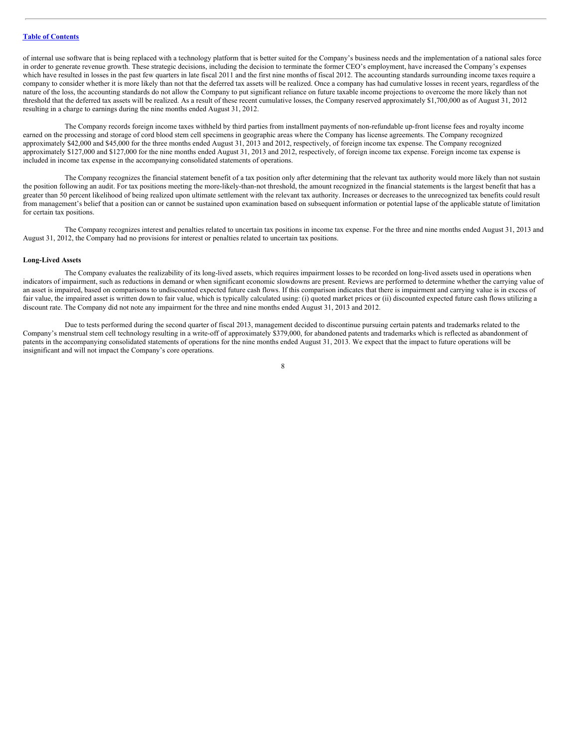of internal use software that is being replaced with a technology platform that is better suited for the Company's business needs and the implementation of a national sales force in order to generate revenue growth. These strategic decisions, including the decision to terminate the former CEO's employment, have increased the Company's expenses which have resulted in losses in the past few quarters in late fiscal 2011 and the first nine months of fiscal 2012. The accounting standards surrounding income taxes require a company to consider whether it is more likely than not that the deferred tax assets will be realized. Once a company has had cumulative losses in recent years, regardless of the nature of the loss, the accounting standards do not allow the Company to put significant reliance on future taxable income projections to overcome the more likely than not threshold that the deferred tax assets will be realized. As a result of these recent cumulative losses, the Company reserved approximately \$1,700,000 as of August 31, 2012 resulting in a charge to earnings during the nine months ended August 31, 2012.

The Company records foreign income taxes withheld by third parties from installment payments of non-refundable up-front license fees and royalty income earned on the processing and storage of cord blood stem cell specimens in geographic areas where the Company has license agreements. The Company recognized approximately \$42,000 and \$45,000 for the three months ended August 31, 2013 and 2012, respectively, of foreign income tax expense. The Company recognized approximately \$127,000 and \$127,000 for the nine months ended August 31, 2013 and 2012, respectively, of foreign income tax expense. Foreign income tax expense is included in income tax expense in the accompanying consolidated statements of operations.

The Company recognizes the financial statement benefit of a tax position only after determining that the relevant tax authority would more likely than not sustain the position following an audit. For tax positions meeting the more-likely-than-not threshold, the amount recognized in the financial statements is the largest benefit that has a greater than 50 percent likelihood of being realized upon ultimate settlement with the relevant tax authority. Increases or decreases to the unrecognized tax benefits could result from management's belief that a position can or cannot be sustained upon examination based on subsequent information or potential lapse of the applicable statute of limitation for certain tax positions.

The Company recognizes interest and penalties related to uncertain tax positions in income tax expense. For the three and nine months ended August 31, 2013 and August 31, 2012, the Company had no provisions for interest or penalties related to uncertain tax positions.

#### **Long-Lived Assets**

The Company evaluates the realizability of its long-lived assets, which requires impairment losses to be recorded on long-lived assets used in operations when indicators of impairment, such as reductions in demand or when significant economic slowdowns are present. Reviews are performed to determine whether the carrying value of an asset is impaired, based on comparisons to undiscounted expected future cash flows. If this comparison indicates that there is impairment and carrying value is in excess of fair value, the impaired asset is written down to fair value, which is typically calculated using: (i) quoted market prices or (ii) discounted expected future cash flows utilizing a discount rate. The Company did not note any impairment for the three and nine months ended August 31, 2013 and 2012.

Due to tests performed during the second quarter of fiscal 2013, management decided to discontinue pursuing certain patents and trademarks related to the Company's menstrual stem cell technology resulting in a write-off of approximately \$379,000, for abandoned patents and trademarks which is reflected as abandonment of patents in the accompanying consolidated statements of operations for the nine months ended August 31, 2013. We expect that the impact to future operations will be insignificant and will not impact the Company's core operations.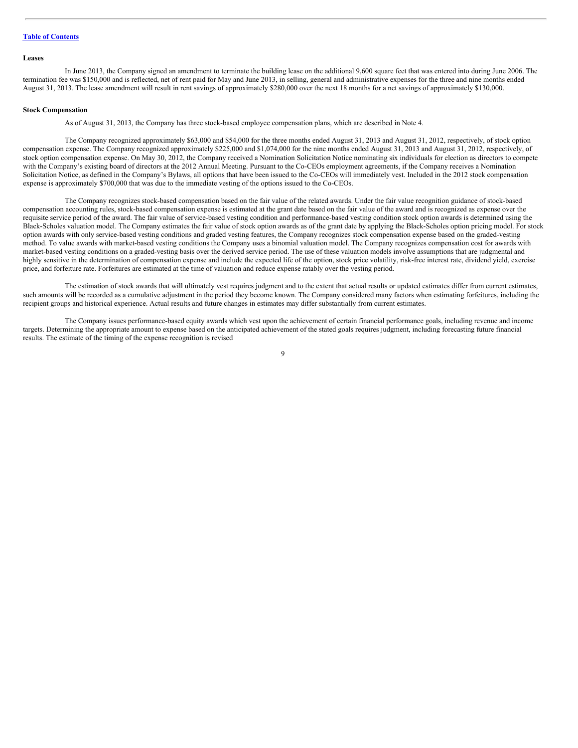#### **Leases**

In June 2013, the Company signed an amendment to terminate the building lease on the additional 9,600 square feet that was entered into during June 2006. The termination fee was \$150,000 and is reflected, net of rent paid for May and June 2013, in selling, general and administrative expenses for the three and nine months ended August 31, 2013. The lease amendment will result in rent savings of approximately \$280,000 over the next 18 months for a net savings of approximately \$130,000.

#### **Stock Compensation**

As of August 31, 2013, the Company has three stock-based employee compensation plans, which are described in Note 4.

The Company recognized approximately \$63,000 and \$54,000 for the three months ended August 31, 2013 and August 31, 2012, respectively, of stock option compensation expense. The Company recognized approximately \$225,000 and \$1,074,000 for the nine months ended August 31, 2013 and August 31, 2012, respectively, of stock option compensation expense. On May 30, 2012, the Company received a Nomination Solicitation Notice nominating six individuals for election as directors to compete with the Company's existing board of directors at the 2012 Annual Meeting. Pursuant to the Co-CEOs employment agreements, if the Company receives a Nomination Solicitation Notice, as defined in the Company's Bylaws, all options that have been issued to the Co-CEOs will immediately vest. Included in the 2012 stock compensation expense is approximately \$700,000 that was due to the immediate vesting of the options issued to the Co-CEOs.

The Company recognizes stock-based compensation based on the fair value of the related awards. Under the fair value recognition guidance of stock-based compensation accounting rules, stock-based compensation expense is estimated at the grant date based on the fair value of the award and is recognized as expense over the requisite service period of the award. The fair value of service-based vesting condition and performance-based vesting condition stock option awards is determined using the Black-Scholes valuation model. The Company estimates the fair value of stock option awards as of the grant date by applying the Black-Scholes option pricing model. For stock option awards with only service-based vesting conditions and graded vesting features, the Company recognizes stock compensation expense based on the graded-vesting method. To value awards with market-based vesting conditions the Company uses a binomial valuation model. The Company recognizes compensation cost for awards with market-based vesting conditions on a graded-vesting basis over the derived service period. The use of these valuation models involve assumptions that are judgmental and highly sensitive in the determination of compensation expense and include the expected life of the option, stock price volatility, risk-free interest rate, dividend yield, exercise price, and forfeiture rate. Forfeitures are estimated at the time of valuation and reduce expense ratably over the vesting period.

The estimation of stock awards that will ultimately vest requires judgment and to the extent that actual results or updated estimates differ from current estimates, such amounts will be recorded as a cumulative adjustment in the period they become known. The Company considered many factors when estimating forfeitures, including the recipient groups and historical experience. Actual results and future changes in estimates may differ substantially from current estimates.

The Company issues performance-based equity awards which vest upon the achievement of certain financial performance goals, including revenue and income targets. Determining the appropriate amount to expense based on the anticipated achievement of the stated goals requires judgment, including forecasting future financial results. The estimate of the timing of the expense recognition is revised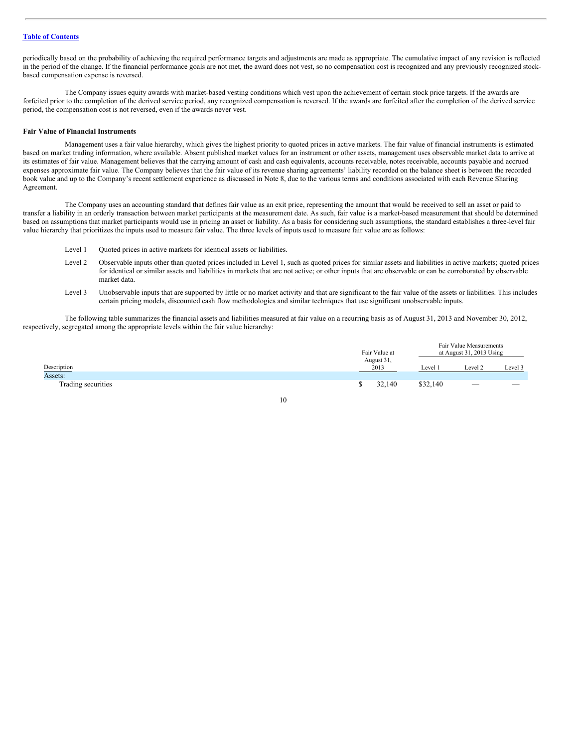periodically based on the probability of achieving the required performance targets and adjustments are made as appropriate. The cumulative impact of any revision is reflected in the period of the change. If the financial performance goals are not met, the award does not vest, so no compensation cost is recognized and any previously recognized stockbased compensation expense is reversed.

The Company issues equity awards with market-based vesting conditions which vest upon the achievement of certain stock price targets. If the awards are forfeited prior to the completion of the derived service period, any recognized compensation is reversed. If the awards are forfeited after the completion of the derived service period, the compensation cost is not reversed, even if the awards never vest.

#### **Fair Value of Financial Instruments**

Management uses a fair value hierarchy, which gives the highest priority to quoted prices in active markets. The fair value of financial instruments is estimated based on market trading information, where available. Absent published market values for an instrument or other assets, management uses observable market data to arrive at its estimates of fair value. Management believes that the carrying amount of cash and cash equivalents, accounts receivable, notes receivable, accounts payable and accrued expenses approximate fair value. The Company believes that the fair value of its revenue sharing agreements' liability recorded on the balance sheet is between the recorded book value and up to the Company's recent settlement experience as discussed in Note 8, due to the various terms and conditions associated with each Revenue Sharing Agreement.

The Company uses an accounting standard that defines fair value as an exit price, representing the amount that would be received to sell an asset or paid to transfer a liability in an orderly transaction between market participants at the measurement date. As such, fair value is a market-based measurement that should be determined based on assumptions that market participants would use in pricing an asset or liability. As a basis for considering such assumptions, the standard establishes a three-level fair value hierarchy that prioritizes the inputs used to measure fair value. The three levels of inputs used to measure fair value are as follows:

- Level 1 Quoted prices in active markets for identical assets or liabilities.
- Level 2 Observable inputs other than quoted prices included in Level 1, such as quoted prices for similar assets and liabilities in active markets; quoted prices for identical or similar assets and liabilities in markets that are not active; or other inputs that are observable or can be corroborated by observable market data.
- Level 3 Unobservable inputs that are supported by little or no market activity and that are significant to the fair value of the assets or liabilities. This includes certain pricing models, discounted cash flow methodologies and similar techniques that use significant unobservable inputs.

The following table summarizes the financial assets and liabilities measured at fair value on a recurring basis as of August 31, 2013 and November 30, 2012, respectively, segregated among the appropriate levels within the fair value hierarchy:

|                    | Fair Value at      |          | Fair Value Measurements<br>at August 31, 2013 Using |         |  |
|--------------------|--------------------|----------|-----------------------------------------------------|---------|--|
| Description        | August 31,<br>2013 | Level 1  | Level 2                                             | Level 3 |  |
| Assets:            |                    |          |                                                     |         |  |
| Trading securities | 32,140             | \$32,140 |                                                     | $-$     |  |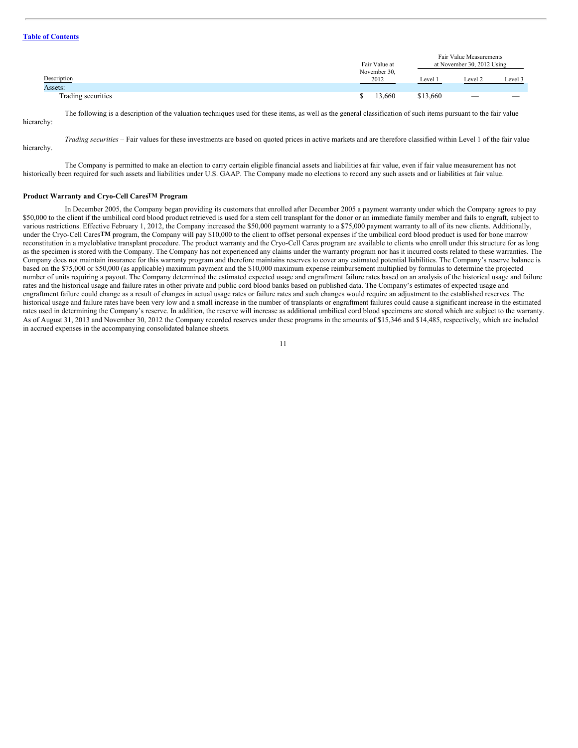#### **Table of [Contents](#page-2-0)**

|                               | Fair Value at        |          | Fair Value Measurements<br>at November 30, 2012 Using |                          |
|-------------------------------|----------------------|----------|-------------------------------------------------------|--------------------------|
| Description                   | November 30,<br>2012 | Level 1  | Level 2                                               | Level 3                  |
| Assets:<br>Trading securities | 13.660               | \$13,660 | $\hspace{0.1mm}-\hspace{0.1mm}$                       | $\overline{\phantom{a}}$ |

The following is a description of the valuation techniques used for these items, as well as the general classification of such items pursuant to the fair value hierarchy:

*Trading securities –* Fair values for these investments are based on quoted prices in active markets and are therefore classified within Level 1 of the fair value hierarchy.

The Company is permitted to make an election to carry certain eligible financial assets and liabilities at fair value, even if fair value measurement has not historically been required for such assets and liabilities under U.S. GAAP. The Company made no elections to record any such assets and or liabilities at fair value.

#### **Product Warranty and Cryo-Cell CaresTM Program**

In December 2005, the Company began providing its customers that enrolled after December 2005 a payment warranty under which the Company agrees to pay \$50,000 to the client if the umbilical cord blood product retrieved is used for a stem cell transplant for the donor or an immediate family member and fails to engraft, subject to various restrictions. Effective February 1, 2012, the Company increased the \$50,000 payment warranty to a \$75,000 payment warranty to all of its new clients. Additionally, under the Cryo-Cell Cares<sup>TM</sup> program, the Company will pay \$10,000 to the client to offset personal expenses if the umbilical cord blood product is used for bone marrow reconstitution in a myeloblative transplant procedure. The product warranty and the Cryo-Cell Cares program are available to clients who enroll under this structure for as long as the specimen is stored with the Company. The Company has not experienced any claims under the warranty program nor has it incurred costs related to these warranties. The Company does not maintain insurance for this warranty program and therefore maintains reserves to cover any estimated potential liabilities. The Company's reserve balance is based on the \$75,000 or \$50,000 (as applicable) maximum payment and the \$10,000 maximum expense reimbursement multiplied by formulas to determine the projected number of units requiring a payout. The Company determined the estimated expected usage and engraftment failure rates based on an analysis of the historical usage and failure rates and the historical usage and failure rates in other private and public cord blood banks based on published data. The Company's estimates of expected usage and engraftment failure could change as a result of changes in actual usage rates or failure rates and such changes would require an adjustment to the established reserves. The historical usage and failure rates have been very low and a small increase in the number of transplants or engraftment failures could cause a significant increase in the estimated rates used in determining the Company's reserve. In addition, the reserve will increase as additional umbilical cord blood specimens are stored which are subject to the warranty. As of August 31, 2013 and November 30, 2012 the Company recorded reserves under these programs in the amounts of \$15,346 and \$14,485, respectively, which are included in accrued expenses in the accompanying consolidated balance sheets.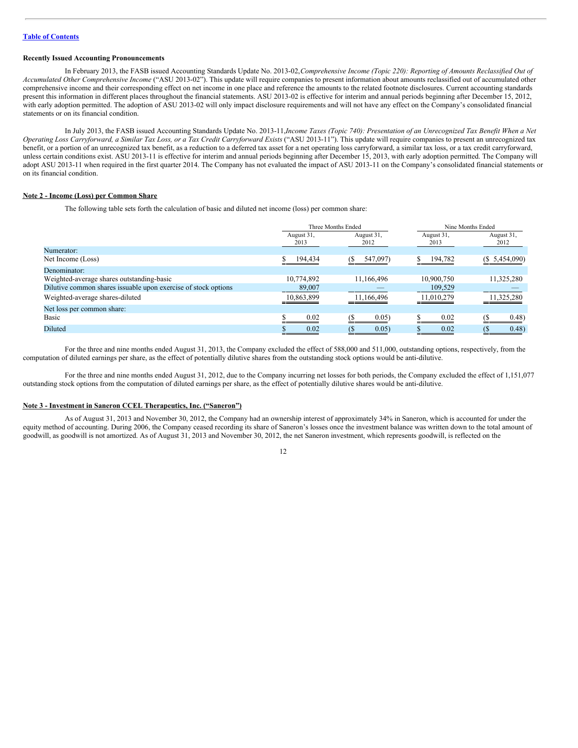#### **Recently Issued Accounting Pronouncements**

In February 2013, the FASB issued Accounting Standards Update No. 2013-02,*Comprehensive Income (Topic 220): Reporting of Amounts Reclassified Out of Accumulated Other Comprehensive Income* ("ASU 2013-02"). This update will require companies to present information about amounts reclassified out of accumulated other comprehensive income and their corresponding effect on net income in one place and reference the amounts to the related footnote disclosures. Current accounting standards present this information in different places throughout the financial statements. ASU 2013-02 is effective for interim and annual periods beginning after December 15, 2012, with early adoption permitted. The adoption of ASU 2013-02 will only impact disclosure requirements and will not have any effect on the Company's consolidated financial statements or on its financial condition.

In July 2013, the FASB issued Accounting Standards Update No. 2013-11, Income Taxes (Topic 740): Presentation of an Unrecognized Tax Benefit When a Net Operating Loss Carryforward, a Similar Tax Loss, or a Tax Credit Carryforward Exists ("ASU 2013-11"). This update will require companies to present an unrecognized tax benefit, or a portion of an unrecognized tax benefit, as a reduction to a deferred tax asset for a net operating loss carryforward, a similar tax loss, or a tax credit carryforward, unless certain conditions exist. ASU 2013-11 is effective for interim and annual periods beginning after December 15, 2013, with early adoption permitted. The Company will adopt ASU 2013-11 when required in the first quarter 2014. The Company has not evaluated the impact of ASU 2013-11 on the Company's consolidated financial statements or on its financial condition.

#### **Note 2 - Income (Loss) per Common Share**

The following table sets forth the calculation of basic and diluted net income (loss) per common share:

|                                                                |                    | Three Months Ended |                    | Nine Months Ended  |
|----------------------------------------------------------------|--------------------|--------------------|--------------------|--------------------|
|                                                                | August 31,<br>2013 | August 31,<br>2012 | August 31,<br>2013 | August 31,<br>2012 |
| Numerator:                                                     |                    |                    |                    |                    |
| Net Income (Loss)                                              | 194.434            | 547,097)           | 194.782            | (S, 5,454,090)     |
| Denominator:                                                   |                    |                    |                    |                    |
| Weighted-average shares outstanding-basic                      | 10,774,892         | 11,166,496         | 10,900,750         | 11,325,280         |
| Dilutive common shares issuable upon exercise of stock options | 89,007             |                    | 109,529            |                    |
| Weighted-average shares-diluted                                | 10.863.899         | 11,166,496         | 11.010.279         | 11,325,280         |
| Net loss per common share:                                     |                    |                    |                    |                    |
| Basic                                                          | 0.02               | 0.05)              | 0.02               | (0.48)             |
| Diluted                                                        | 0.02               | 0.05)              | 0.02               | (0.48)             |

For the three and nine months ended August 31, 2013, the Company excluded the effect of 588,000 and 511,000, outstanding options, respectively, from the computation of diluted earnings per share, as the effect of potentially dilutive shares from the outstanding stock options would be anti-dilutive.

For the three and nine months ended August 31, 2012, due to the Company incurring net losses for both periods, the Company excluded the effect of 1,151,077 outstanding stock options from the computation of diluted earnings per share, as the effect of potentially dilutive shares would be anti-dilutive.

#### **Note 3 - Investment in Saneron CCEL Therapeutics, Inc. ("Saneron")**

As of August 31, 2013 and November 30, 2012, the Company had an ownership interest of approximately 34% in Saneron, which is accounted for under the equity method of accounting. During 2006, the Company ceased recording its share of Saneron's losses once the investment balance was written down to the total amount of goodwill, as goodwill is not amortized. As of August 31, 2013 and November 30, 2012, the net Saneron investment, which represents goodwill, is reflected on the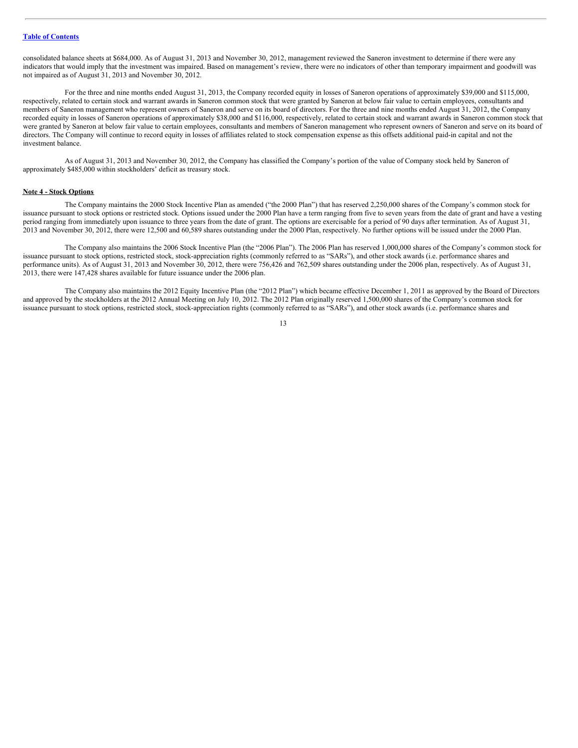consolidated balance sheets at \$684,000. As of August 31, 2013 and November 30, 2012, management reviewed the Saneron investment to determine if there were any indicators that would imply that the investment was impaired. Based on management's review, there were no indicators of other than temporary impairment and goodwill was not impaired as of August 31, 2013 and November 30, 2012.

For the three and nine months ended August 31, 2013, the Company recorded equity in losses of Saneron operations of approximately \$39,000 and \$115,000, respectively, related to certain stock and warrant awards in Saneron common stock that were granted by Saneron at below fair value to certain employees, consultants and members of Saneron management who represent owners of Saneron and serve on its board of directors. For the three and nine months ended August 31, 2012, the Company recorded equity in losses of Saneron operations of approximately \$38,000 and \$116,000, respectively, related to certain stock and warrant awards in Saneron common stock that were granted by Saneron at below fair value to certain employees, consultants and members of Saneron management who represent owners of Saneron and serve on its board of directors. The Company will continue to record equity in losses of affiliates related to stock compensation expense as this offsets additional paid-in capital and not the investment balance.

As of August 31, 2013 and November 30, 2012, the Company has classified the Company's portion of the value of Company stock held by Saneron of approximately \$485,000 within stockholders' deficit as treasury stock.

#### **Note 4 - Stock Options**

The Company maintains the 2000 Stock Incentive Plan as amended ("the 2000 Plan") that has reserved 2,250,000 shares of the Company's common stock for issuance pursuant to stock options or restricted stock. Options issued under the 2000 Plan have a term ranging from five to seven years from the date of grant and have a vesting period ranging from immediately upon issuance to three years from the date of grant. The options are exercisable for a period of 90 days after termination. As of August 31, 2013 and November 30, 2012, there were 12,500 and 60,589 shares outstanding under the 2000 Plan, respectively. No further options will be issued under the 2000 Plan.

The Company also maintains the 2006 Stock Incentive Plan (the "2006 Plan"). The 2006 Plan has reserved 1,000,000 shares of the Company's common stock for issuance pursuant to stock options, restricted stock, stock-appreciation rights (commonly referred to as "SARs"), and other stock awards (i.e. performance shares and performance units). As of August 31, 2013 and November 30, 2012, there were 756,426 and 762,509 shares outstanding under the 2006 plan, respectively. As of August 31, 2013, there were 147,428 shares available for future issuance under the 2006 plan.

The Company also maintains the 2012 Equity Incentive Plan (the "2012 Plan") which became effective December 1, 2011 as approved by the Board of Directors and approved by the stockholders at the 2012 Annual Meeting on July 10, 2012. The 2012 Plan originally reserved 1,500,000 shares of the Company's common stock for issuance pursuant to stock options, restricted stock, stock-appreciation rights (commonly referred to as "SARs"), and other stock awards (i.e. performance shares and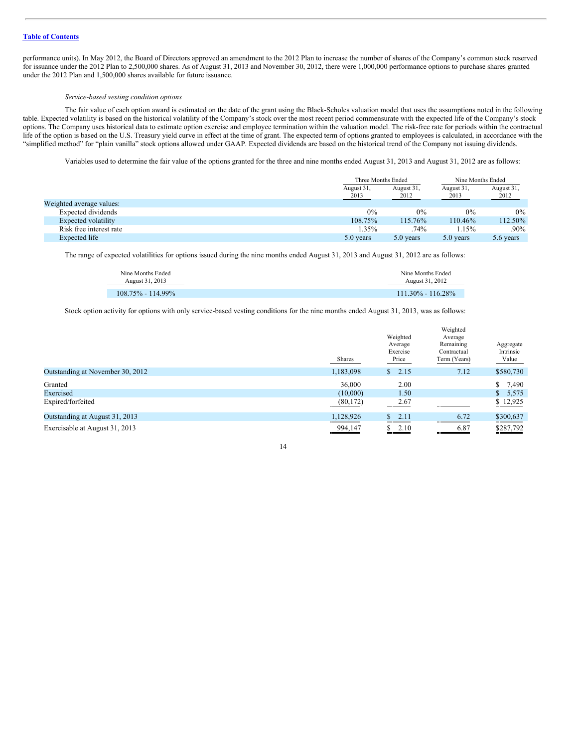performance units). In May 2012, the Board of Directors approved an amendment to the 2012 Plan to increase the number of shares of the Company's common stock reserved for issuance under the 2012 Plan to 2,500,000 shares. As of August 31, 2013 and November 30, 2012, there were 1,000,000 performance options to purchase shares granted under the 2012 Plan and 1,500,000 shares available for future issuance.

#### *Service-based vesting condition options*

The fair value of each option award is estimated on the date of the grant using the Black-Scholes valuation model that uses the assumptions noted in the following table. Expected volatility is based on the historical volatility of the Company's stock over the most recent period commensurate with the expected life of the Company's stock options. The Company uses historical data to estimate option exercise and employee termination within the valuation model. The risk-free rate for periods within the contractual life of the option is based on the U.S. Treasury yield curve in effect at the time of grant. The expected term of options granted to employees is calculated, in accordance with the "simplified method" for "plain vanilla" stock options allowed under GAAP. Expected dividends are based on the historical trend of the Company not issuing dividends.

Variables used to determine the fair value of the options granted for the three and nine months ended August 31, 2013 and August 31, 2012 are as follows:

|                          | Three Months Ended |                    | Nine Months Ended  |                    |
|--------------------------|--------------------|--------------------|--------------------|--------------------|
|                          | August 31,<br>2013 | August 31,<br>2012 | August 31,<br>2013 | August 31.<br>2012 |
| Weighted average values: |                    |                    |                    |                    |
| Expected dividends       | 0%                 | 0%                 | 0%                 | $0\%$              |
| Expected volatility      | 108.75%            | 115.76%            | 110.46%            | 112.50%            |
| Risk free interest rate  | 1.35%              | .74%               | 1.15%              | $.90\%$            |
| Expected life            | 5.0 years          | 5.0 years          | 5.0 years          | 5.6 years          |

The range of expected volatilities for options issued during the nine months ended August 31, 2013 and August 31, 2012 are as follows:

| Nine Months Ended     | Nine Months Ended     |
|-----------------------|-----------------------|
| August 31, 2013       | August 31, 2012       |
| $108.75\% - 114.99\%$ | $111.30\% - 116.28\%$ |

Stock option activity for options with only service-based vesting conditions for the nine months ended August 31, 2013, was as follows:

|                                  | Shares    | Weighted<br>Average<br>Exercise<br>Price | Weighted<br>Average<br>Remaining<br>Contractual<br>Term (Years) | Aggregate<br>Intrinsic<br>Value |
|----------------------------------|-----------|------------------------------------------|-----------------------------------------------------------------|---------------------------------|
| Outstanding at November 30, 2012 | 1,183,098 | \$2.15                                   | 7.12                                                            | \$580,730                       |
| Granted                          | 36,000    | 2.00                                     |                                                                 | 7,490<br>\$                     |
| Exercised                        | (10,000)  | 1.50                                     |                                                                 | 5,575<br>S.                     |
| Expired/forfeited                | (80, 172) | 2.67                                     |                                                                 | \$12,925                        |
| Outstanding at August 31, 2013   | 1,128,926 | 2.11                                     | 6.72                                                            | \$300,637                       |
| Exercisable at August 31, 2013   | 994,147   | 2.10                                     | 6.87                                                            | \$287,792                       |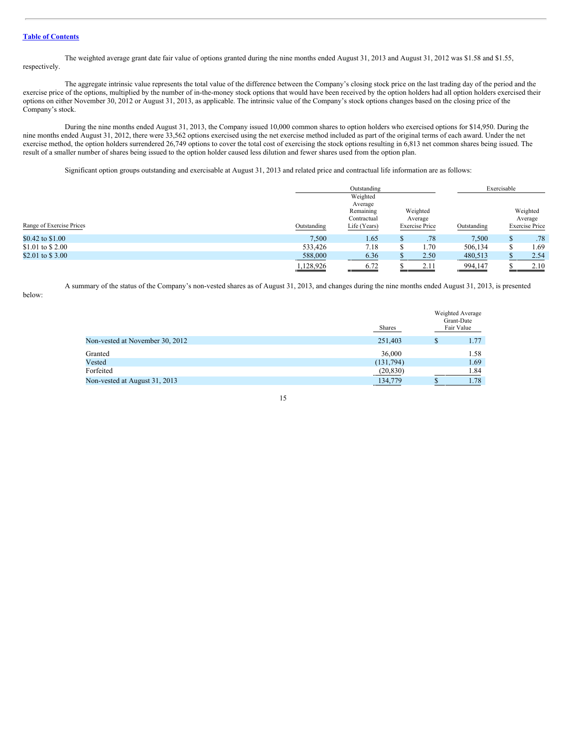The weighted average grant date fair value of options granted during the nine months ended August 31, 2013 and August 31, 2012 was \$1.58 and \$1.55, respectively.

The aggregate intrinsic value represents the total value of the difference between the Company's closing stock price on the last trading day of the period and the exercise price of the options, multiplied by the number of in-the-money stock options that would have been received by the option holders had all option holders exercised their options on either November 30, 2012 or August 31, 2013, as applicable. The intrinsic value of the Company's stock options changes based on the closing price of the Company's stock.

During the nine months ended August 31, 2013, the Company issued 10,000 common shares to option holders who exercised options for \$14,950. During the nine months ended August 31, 2012, there were 33,562 options exercised using the net exercise method included as part of the original terms of each award. Under the net exercise method, the option holders surrendered 26,749 options to cover the total cost of exercising the stock options resulting in 6,813 net common shares being issued. The result of a smaller number of shares being issued to the option holder caused less dilution and fewer shares used from the option plan.

Significant option groups outstanding and exercisable at August 31, 2013 and related price and contractual life information are as follows:

|                          |             | Outstanding  |    |                       |             | Exercisable |                       |  |  |
|--------------------------|-------------|--------------|----|-----------------------|-------------|-------------|-----------------------|--|--|
|                          |             | Weighted     |    |                       |             |             |                       |  |  |
|                          |             | Average      |    |                       |             |             |                       |  |  |
|                          |             | Remaining    |    | Weighted              |             |             | Weighted              |  |  |
|                          |             | Contractual  |    | Average               |             |             | Average               |  |  |
| Range of Exercise Prices | Outstanding | Life (Years) |    | <b>Exercise Price</b> | Outstanding |             | <b>Exercise Price</b> |  |  |
| \$0.42 to \$1.00         | 7.500       | 1.65         | \$ | .78                   | 7.500       | \$          | .78                   |  |  |
| \$1.01 to \$2.00         | 533,426     | 7.18         | \$ | .70                   | 506,134     |             | 1.69                  |  |  |
| \$2.01 to \$3.00         | 588,000     | 6.36         |    | 2.50                  | 480,513     |             | 2.54                  |  |  |
|                          | 1,128,926   | 6.72         |    | 2.11                  | 994,147     |             | 2.10                  |  |  |

A summary of the status of the Company's non-vested shares as of August 31, 2013, and changes during the nine months ended August 31, 2013, is presented

below:

|                                 | Shares    | Weighted Average<br>Grant-Date<br>Fair Value |
|---------------------------------|-----------|----------------------------------------------|
| Non-vested at November 30, 2012 | 251,403   | \$<br>1.77                                   |
| Granted                         | 36,000    | 1.58                                         |
| Vested                          | (131,794) | 1.69                                         |
| Forfeited                       | (20, 830) | 1.84                                         |
| Non-vested at August 31, 2013   | 134,779   | 1.78                                         |
|                                 |           |                                              |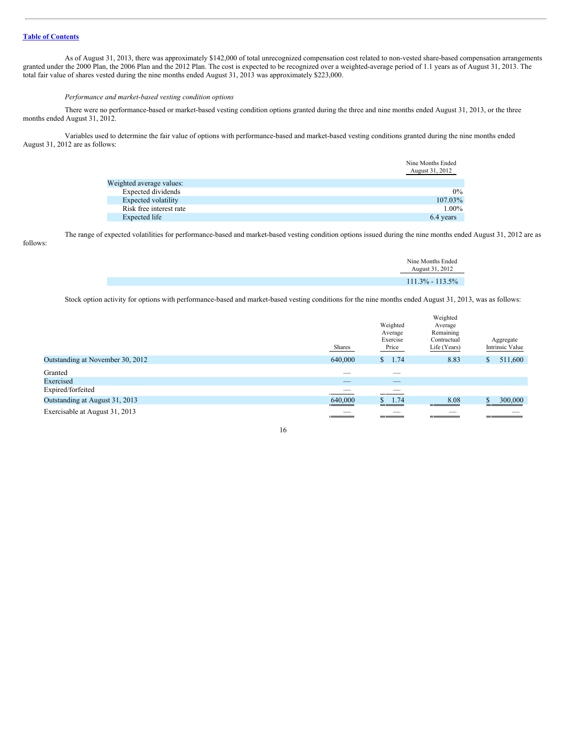As of August 31, 2013, there was approximately \$142,000 of total unrecognized compensation cost related to non-vested share-based compensation arrangements granted under the 2000 Plan, the 2006 Plan and the 2012 Plan. The cost is expected to be recognized over a weighted-average period of 1.1 years as of August 31, 2013. The total fair value of shares vested during the nine months ended August 31, 2013 was approximately \$223,000.

#### *Performance and market-based vesting condition options*

There were no performance-based or market-based vesting condition options granted during the three and nine months ended August 31, 2013, or the three months ended August 31, 2012.

Variables used to determine the fair value of options with performance-based and market-based vesting conditions granted during the nine months ended August 31, 2012 are as follows:

|                          | Nine Months Ended<br>August 31, 2012 |
|--------------------------|--------------------------------------|
| Weighted average values: |                                      |
| Expected dividends       | $0\%$                                |
| Expected volatility      | 107.03%                              |
| Risk free interest rate  | 1.00%                                |
| Expected life            | 6.4 years                            |

The range of expected volatilities for performance-based and market-based vesting condition options issued during the nine months ended August 31, 2012 are as follows:

| Nine Months Ended<br>August 31, 2012 |
|--------------------------------------|
| $111.3\% - 113.5\%$                  |

Stock option activity for options with performance-based and market-based vesting conditions for the nine months ended August 31, 2013, was as follows:

|                                  |         |            | Weighted     |                 |
|----------------------------------|---------|------------|--------------|-----------------|
|                                  |         | Weighted   | Average      |                 |
|                                  |         | Average    | Remaining    |                 |
|                                  |         | Exercise   | Contractual  | Aggregate       |
|                                  | Shares  | Price      | Life (Years) | Intrinsic Value |
| Outstanding at November 30, 2012 | 640,000 | 1.74<br>\$ | 8.83         | 511,600<br>S.   |
| Granted                          |         |            |              |                 |
| Exercised                        |         |            |              |                 |
| Expired/forfeited                |         |            |              |                 |
| Outstanding at August 31, 2013   | 640,000 | 1.74       | 8.08         | 300,000         |
| Exercisable at August 31, 2013   |         |            |              |                 |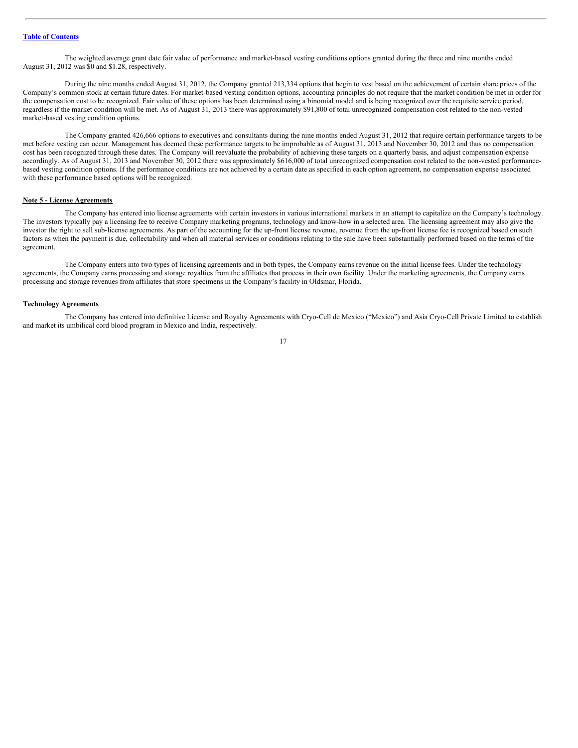The weighted average grant date fair value of performance and market-based vesting conditions options granted during the three and nine months ended August 31, 2012 was \$0 and \$1.28, respectively.

During the nine months ended August 31, 2012, the Company granted 213,334 options that begin to vest based on the achievement of certain share prices of the Company's common stock at certain future dates. For market-based vesting condition options, accounting principles do not require that the market condition be met in order for the compensation cost to be recognized. Fair value of these options has been determined using a binomial model and is being recognized over the requisite service period, regardless if the market condition will be met. As of August 31, 2013 there was approximately \$91,800 of total unrecognized compensation cost related to the non-vested market-based vesting condition options.

The Company granted 426,666 options to executives and consultants during the nine months ended August 31, 2012 that require certain performance targets to be met before vesting can occur. Management has deemed these performance targets to be improbable as of August 31, 2013 and November 30, 2012 and thus no compensation cost has been recognized through these dates. The Company will reevaluate the probability of achieving these targets on a quarterly basis, and adjust compensation expense accordingly. As of August 31, 2013 and November 30, 2012 there was approximately \$616,000 of total unrecognized compensation cost related to the non-vested performancebased vesting condition options. If the performance conditions are not achieved by a certain date as specified in each option agreement, no compensation expense associated with these performance based options will be recognized.

#### **Note 5 - License Agreements**

The Company has entered into license agreements with certain investors in various international markets in an attempt to capitalize on the Company's technology. The investors typically pay a licensing fee to receive Company marketing programs, technology and know-how in a selected area. The licensing agreement may also give the investor the right to sell sub-license agreements. As part of the accounting for the up-front license revenue, revenue from the up-front license fee is recognized based on such factors as when the payment is due, collectability and when all material services or conditions relating to the sale have been substantially performed based on the terms of the agreement.

The Company enters into two types of licensing agreements and in both types, the Company earns revenue on the initial license fees. Under the technology agreements, the Company earns processing and storage royalties from the affiliates that process in their own facility. Under the marketing agreements, the Company earns processing and storage revenues from affiliates that store specimens in the Company's facility in Oldsmar, Florida.

#### **Technology Agreements**

The Company has entered into definitive License and Royalty Agreements with Cryo-Cell de Mexico ("Mexico") and Asia Cryo-Cell Private Limited to establish and market its umbilical cord blood program in Mexico and India, respectively.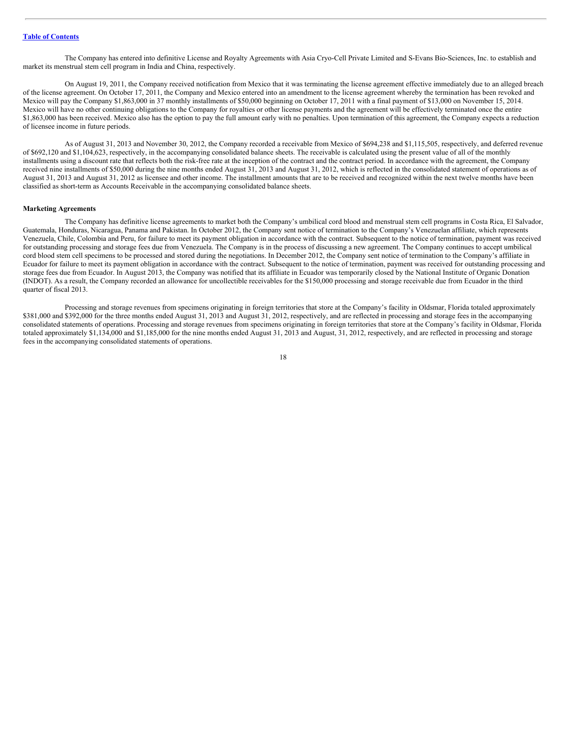The Company has entered into definitive License and Royalty Agreements with Asia Cryo-Cell Private Limited and S-Evans Bio-Sciences, Inc. to establish and market its menstrual stem cell program in India and China, respectively.

On August 19, 2011, the Company received notification from Mexico that it was terminating the license agreement effective immediately due to an alleged breach of the license agreement. On October 17, 2011, the Company and Mexico entered into an amendment to the license agreement whereby the termination has been revoked and Mexico will pay the Company \$1,863,000 in 37 monthly installments of \$50,000 beginning on October 17, 2011 with a final payment of \$13,000 on November 15, 2014. Mexico will have no other continuing obligations to the Company for royalties or other license payments and the agreement will be effectively terminated once the entire \$1,863,000 has been received. Mexico also has the option to pay the full amount early with no penalties. Upon termination of this agreement, the Company expects a reduction of licensee income in future periods.

As of August 31, 2013 and November 30, 2012, the Company recorded a receivable from Mexico of \$694,238 and \$1,115,505, respectively, and deferred revenue of \$692,120 and \$1,104,623, respectively, in the accompanying consolidated balance sheets. The receivable is calculated using the present value of all of the monthly installments using a discount rate that reflects both the risk-free rate at the inception of the contract and the contract period. In accordance with the agreement, the Company received nine installments of \$50,000 during the nine months ended August 31, 2013 and August 31, 2012, which is reflected in the consolidated statement of operations as of August 31, 2013 and August 31, 2012 as licensee and other income. The installment amounts that are to be received and recognized within the next twelve months have been classified as short-term as Accounts Receivable in the accompanying consolidated balance sheets.

#### **Marketing Agreements**

The Company has definitive license agreements to market both the Company's umbilical cord blood and menstrual stem cell programs in Costa Rica, El Salvador, Guatemala, Honduras, Nicaragua, Panama and Pakistan. In October 2012, the Company sent notice of termination to the Company's Venezuelan affiliate, which represents Venezuela, Chile, Colombia and Peru, for failure to meet its payment obligation in accordance with the contract. Subsequent to the notice of termination, payment was received for outstanding processing and storage fees due from Venezuela. The Company is in the process of discussing a new agreement. The Company continues to accept umbilical cord blood stem cell specimens to be processed and stored during the negotiations. In December 2012, the Company sent notice of termination to the Company's affiliate in Ecuador for failure to meet its payment obligation in accordance with the contract. Subsequent to the notice of termination, payment was received for outstanding processing and storage fees due from Ecuador. In August 2013, the Company was notified that its affiliate in Ecuador was temporarily closed by the National Institute of Organic Donation (INDOT). As a result, the Company recorded an allowance for uncollectible receivables for the \$150,000 processing and storage receivable due from Ecuador in the third quarter of fiscal 2013.

Processing and storage revenues from specimens originating in foreign territories that store at the Company's facility in Oldsmar, Florida totaled approximately \$381,000 and \$392,000 for the three months ended August 31, 2013 and August 31, 2012, respectively, and are reflected in processing and storage fees in the accompanying consolidated statements of operations. Processing and storage revenues from specimens originating in foreign territories that store at the Company's facility in Oldsmar, Florida totaled approximately \$1,134,000 and \$1,185,000 for the nine months ended August 31, 2013 and August, 31, 2012, respectively, and are reflected in processing and storage fees in the accompanying consolidated statements of operations.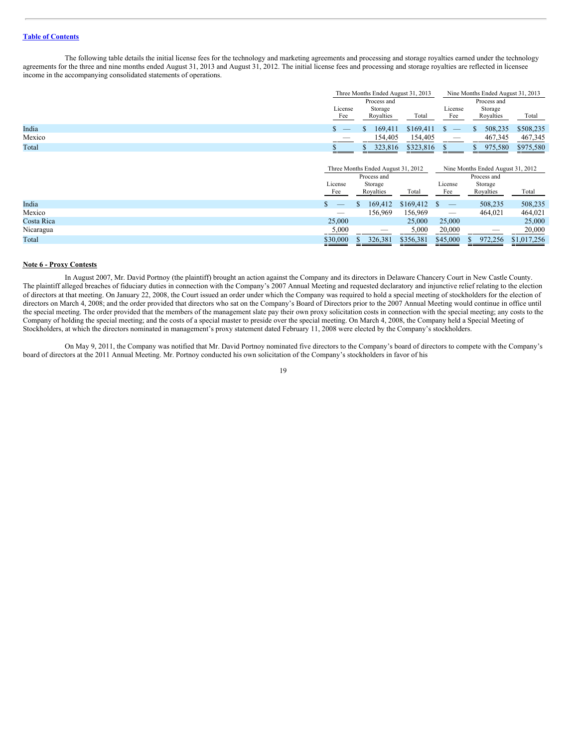#### **Table of [Contents](#page-2-0)**

The following table details the initial license fees for the technology and marketing agreements and processing and storage royalties earned under the technology agreements for the three and nine months ended August 31, 2013 and August 31, 2012. The initial license fees and processing and storage royalties are reflected in licensee income in the accompanying consolidated statements of operations.

|            | Three Months Ended August 31, 2013 |                                    |             | Nine Months Ended August 31, 2013 |                                   |             |
|------------|------------------------------------|------------------------------------|-------------|-----------------------------------|-----------------------------------|-------------|
|            | Process and                        |                                    | Process and |                                   |                                   |             |
|            | License                            | Storage                            |             | License                           | Storage                           |             |
|            | Fee                                | Royalties                          | Total       | Fee                               | Royalties                         | Total       |
| India      | S.                                 | 169,411<br>S                       | \$169,411   |                                   | 508,235                           | \$508,235   |
| Mexico     |                                    | 154,405                            | 154,405     |                                   | 467,345                           | 467,345     |
| Total      |                                    | 323,816                            | \$323,816   | $\mathbf{r}$                      | 975,580<br>S                      | \$975,580   |
|            |                                    |                                    |             |                                   |                                   |             |
|            |                                    | Three Months Ended August 31, 2012 |             |                                   | Nine Months Ended August 31, 2012 |             |
|            | Process and                        |                                    |             | Process and                       |                                   |             |
|            | License                            | Storage                            |             | License                           | Storage                           |             |
|            | Fee                                | Royalties                          | Total       | Fee                               | Royalties                         | Total       |
| India      |                                    | 169,412                            | \$169,412   | S                                 | 508,235                           | 508,235     |
| Mexico     | $\hspace{0.1mm}-\hspace{0.1mm}$    | 156,969                            | 156,969     |                                   | 464,021                           | 464,021     |
| Costa Rica | 25,000                             |                                    | 25,000      | 25,000                            |                                   | 25,000      |
| Nicaragua  | 5,000                              |                                    | 5,000       | 20,000                            |                                   | 20,000      |
| Total      | \$30,000                           | 326,381                            | \$356,381   | \$45,000                          | 972,256                           | \$1,017,256 |

#### **Note 6 - Proxy Contests**

In August 2007, Mr. David Portnoy (the plaintiff) brought an action against the Company and its directors in Delaware Chancery Court in New Castle County. The plaintiff alleged breaches of fiduciary duties in connection with the Company's 2007 Annual Meeting and requested declaratory and injunctive relief relating to the election of directors at that meeting. On January 22, 2008, the Court issued an order under which the Company was required to hold a special meeting of stockholders for the election of directors on March 4, 2008; and the order provided that directors who sat on the Company's Board of Directors prior to the 2007 Annual Meeting would continue in office until the special meeting. The order provided that the members of the management slate pay their own proxy solicitation costs in connection with the special meeting; any costs to the Company of holding the special meeting; and the costs of a special master to preside over the special meeting. On March 4, 2008, the Company held a Special Meeting of Stockholders, at which the directors nominated in management's proxy statement dated February 11, 2008 were elected by the Company's stockholders.

On May 9, 2011, the Company was notified that Mr. David Portnoy nominated five directors to the Company's board of directors to compete with the Company's board of directors at the 2011 Annual Meeting. Mr. Portnoy conducted his own solicitation of the Company's stockholders in favor of his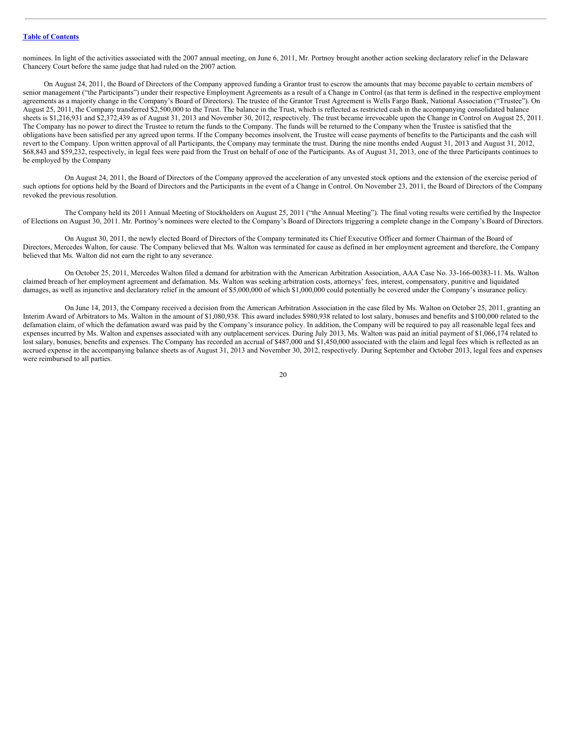nominees. In light of the activities associated with the 2007 annual meeting, on June 6, 2011, Mr. Portnoy brought another action seeking declaratory relief in the Delaware Chancery Court before the same judge that had ruled on the 2007 action.

On August 24, 2011, the Board of Directors of the Company approved funding a Grantor trust to escrow the amounts that may become payable to certain members of senior management ("the Participants") under their respective Employment Agreements as a result of a Change in Control (as that term is defined in the respective employment agreements as a majority change in the Company's Board of Directors). The trustee of the Grantor Trust Agreement is Wells Fargo Bank, National Association ("Trustee"). On August 25, 2011, the Company transferred \$2,500,000 to the Trust. The balance in the Trust, which is reflected as restricted cash in the accompanying consolidated balance sheets is \$1,216,931 and \$2,372,439 as of August 31, 2013 and November 30, 2012, respectively. The trust became irrevocable upon the Change in Control on August 25, 2011. The Company has no power to direct the Trustee to return the funds to the Company. The funds will be returned to the Company when the Trustee is satisfied that the obligations have been satisfied per any agreed upon terms. If the Company becomes insolvent, the Trustee will cease payments of benefits to the Participants and the cash will revert to the Company. Upon written approval of all Participants, the Company may terminate the trust. During the nine months ended August 31, 2013 and August 31, 2012, \$68,843 and \$59,232, respectively, in legal fees were paid from the Trust on behalf of one of the Participants. As of August 31, 2013, one of the three Participants continues to be employed by the Company

On August 24, 2011, the Board of Directors of the Company approved the acceleration of any unvested stock options and the extension of the exercise period of such options for options held by the Board of Directors and the Participants in the event of a Change in Control. On November 23, 2011, the Board of Directors of the Company revoked the previous resolution.

The Company held its 2011 Annual Meeting of Stockholders on August 25, 2011 ("the Annual Meeting"). The final voting results were certified by the Inspector of Elections on August 30, 2011. Mr. Portnoy's nominees were elected to the Company's Board of Directors triggering a complete change in the Company's Board of Directors.

On August 30, 2011, the newly elected Board of Directors of the Company terminated its Chief Executive Officer and former Chairman of the Board of Directors, Mercedes Walton, for cause. The Company believed that Ms. Walton was terminated for cause as defined in her employment agreement and therefore, the Company believed that Ms. Walton did not earn the right to any severance.

On October 25, 2011, Mercedes Walton filed a demand for arbitration with the American Arbitration Association, AAA Case No. 33-166-00383-11. Ms. Walton claimed breach of her employment agreement and defamation. Ms. Walton was seeking arbitration costs, attorneys' fees, interest, compensatory, punitive and liquidated damages, as well as injunctive and declaratory relief in the amount of \$5,000,000 of which \$1,000,000 could potentially be covered under the Company's insurance policy.

On June 14, 2013, the Company received a decision from the American Arbitration Association in the case filed by Ms. Walton on October 25, 2011, granting an Interim Award of Arbitrators to Ms. Walton in the amount of \$1,080,938. This award includes \$980,938 related to lost salary, bonuses and benefits and \$100,000 related to the defamation claim, of which the defamation award was paid by the Company's insurance policy. In addition, the Company will be required to pay all reasonable legal fees and expenses incurred by Ms. Walton and expenses associated with any outplacement services. During July 2013, Ms. Walton was paid an initial payment of \$1,066,174 related to lost salary, bonuses, benefits and expenses. The Company has recorded an accrual of \$487,000 and \$1,450,000 associated with the claim and legal fees which is reflected as an accrued expense in the accompanying balance sheets as of August 31, 2013 and November 30, 2012, respectively. During September and October 2013, legal fees and expenses were reimbursed to all parties.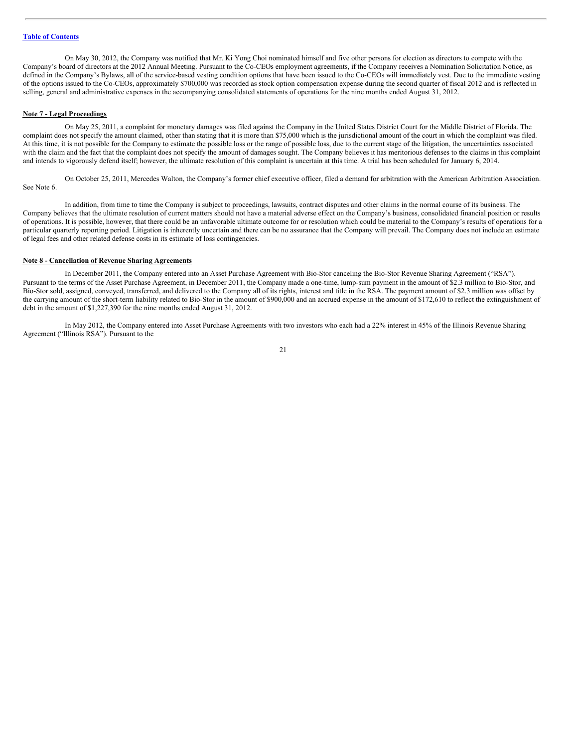On May 30, 2012, the Company was notified that Mr. Ki Yong Choi nominated himself and five other persons for election as directors to compete with the Company's board of directors at the 2012 Annual Meeting. Pursuant to the Co-CEOs employment agreements, if the Company receives a Nomination Solicitation Notice, as defined in the Company's Bylaws, all of the service-based vesting condition options that have been issued to the Co-CEOs will immediately vest. Due to the immediate vesting of the options issued to the Co-CEOs, approximately \$700,000 was recorded as stock option compensation expense during the second quarter of fiscal 2012 and is reflected in selling, general and administrative expenses in the accompanying consolidated statements of operations for the nine months ended August 31, 2012.

#### **Note 7 - Legal Proceedings**

On May 25, 2011, a complaint for monetary damages was filed against the Company in the United States District Court for the Middle District of Florida. The complaint does not specify the amount claimed, other than stating that it is more than \$75,000 which is the jurisdictional amount of the court in which the complaint was filed. At this time, it is not possible for the Company to estimate the possible loss or the range of possible loss, due to the current stage of the litigation, the uncertainties associated with the claim and the fact that the complaint does not specify the amount of damages sought. The Company believes it has meritorious defenses to the claims in this complaint and intends to vigorously defend itself; however, the ultimate resolution of this complaint is uncertain at this time. A trial has been scheduled for January 6, 2014.

On October 25, 2011, Mercedes Walton, the Company's former chief executive officer, filed a demand for arbitration with the American Arbitration Association. See Note 6.

In addition, from time to time the Company is subject to proceedings, lawsuits, contract disputes and other claims in the normal course of its business. The Company believes that the ultimate resolution of current matters should not have a material adverse effect on the Company's business, consolidated financial position or results of operations. It is possible, however, that there could be an unfavorable ultimate outcome for or resolution which could be material to the Company's results of operations for a particular quarterly reporting period. Litigation is inherently uncertain and there can be no assurance that the Company will prevail. The Company does not include an estimate of legal fees and other related defense costs in its estimate of loss contingencies.

#### **Note 8 - Cancellation of Revenue Sharing Agreements**

In December 2011, the Company entered into an Asset Purchase Agreement with Bio-Stor canceling the Bio-Stor Revenue Sharing Agreement ("RSA"). Pursuant to the terms of the Asset Purchase Agreement, in December 2011, the Company made a one-time, lump-sum payment in the amount of \$2.3 million to Bio-Stor, and Bio-Stor sold, assigned, conveyed, transferred, and delivered to the Company all of its rights, interest and title in the RSA. The payment amount of \$2.3 million was offset by the carrying amount of the short-term liability related to Bio-Stor in the amount of \$900,000 and an accrued expense in the amount of \$172,610 to reflect the extinguishment of debt in the amount of \$1,227,390 for the nine months ended August 31, 2012.

In May 2012, the Company entered into Asset Purchase Agreements with two investors who each had a 22% interest in 45% of the Illinois Revenue Sharing Agreement ("Illinois RSA"). Pursuant to the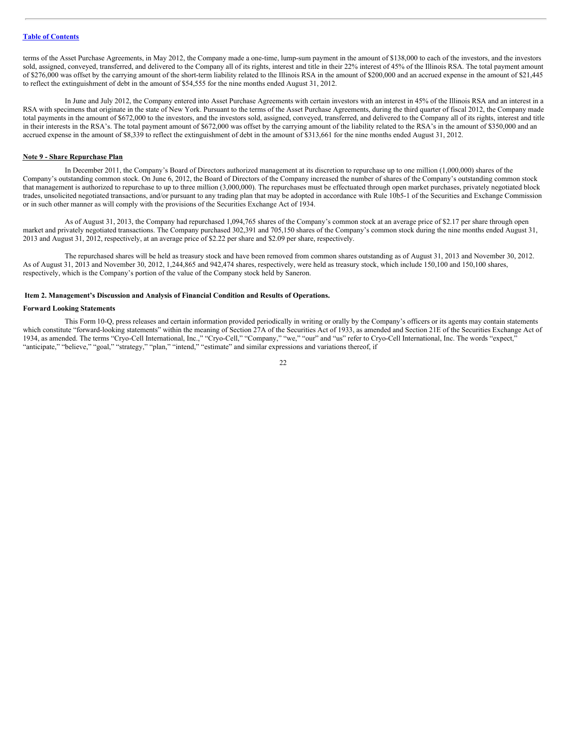terms of the Asset Purchase Agreements, in May 2012, the Company made a one-time, lump-sum payment in the amount of \$138,000 to each of the investors, and the investors sold, assigned, conveyed, transferred, and delivered to the Company all of its rights, interest and title in their 22% interest of 45% of the Illinois RSA. The total payment amount of \$276,000 was offset by the carrying amount of the short-term liability related to the Illinois RSA in the amount of \$200,000 and an accrued expense in the amount of \$21,445 to reflect the extinguishment of debt in the amount of \$54,555 for the nine months ended August 31, 2012.

In June and July 2012, the Company entered into Asset Purchase Agreements with certain investors with an interest in 45% of the Illinois RSA and an interest in a RSA with specimens that originate in the state of New York. Pursuant to the terms of the Asset Purchase Agreements, during the third quarter of fiscal 2012, the Company made total payments in the amount of \$672,000 to the investors, and the investors sold, assigned, conveyed, transferred, and delivered to the Company all of its rights, interest and title in their interests in the RSA's. The total payment amount of \$672,000 was offset by the carrying amount of the liability related to the RSA's in the amount of \$350,000 and an accrued expense in the amount of \$8,339 to reflect the extinguishment of debt in the amount of \$313,661 for the nine months ended August 31, 2012.

#### **Note 9 - Share Repurchase Plan**

In December 2011, the Company's Board of Directors authorized management at its discretion to repurchase up to one million (1,000,000) shares of the Company's outstanding common stock. On June 6, 2012, the Board of Directors of the Company increased the number of shares of the Company's outstanding common stock that management is authorized to repurchase to up to three million (3,000,000). The repurchases must be effectuated through open market purchases, privately negotiated block trades, unsolicited negotiated transactions, and/or pursuant to any trading plan that may be adopted in accordance with Rule 10b5-1 of the Securities and Exchange Commission or in such other manner as will comply with the provisions of the Securities Exchange Act of 1934.

As of August 31, 2013, the Company had repurchased 1,094,765 shares of the Company's common stock at an average price of \$2.17 per share through open market and privately negotiated transactions. The Company purchased 302,391 and 705,150 shares of the Company's common stock during the nine months ended August 31, 2013 and August 31, 2012, respectively, at an average price of \$2.22 per share and \$2.09 per share, respectively.

The repurchased shares will be held as treasury stock and have been removed from common shares outstanding as of August 31, 2013 and November 30, 2012. As of August 31, 2013 and November 30, 2012, 1,244,865 and 942,474 shares, respectively, were held as treasury stock, which include 150,100 and 150,100 shares, respectively, which is the Company's portion of the value of the Company stock held by Saneron.

#### <span id="page-22-0"></span>**Item 2. Management's Discussion and Analysis of Financial Condition and Results of Operations.**

#### **Forward Looking Statements**

This Form 10-Q, press releases and certain information provided periodically in writing or orally by the Company's officers or its agents may contain statements which constitute "forward-looking statements" within the meaning of Section 27A of the Securities Act of 1933, as amended and Section 21E of the Securities Exchange Act of 1934, as amended. The terms "Cryo-Cell International, Inc.," "Cryo-Cell," "Company," "we," "our" and "us" refer to Cryo-Cell International, Inc. The words "expect," "anticipate," "believe," "goal," "strategy," "plan," "intend," "estimate" and similar expressions and variations thereof, if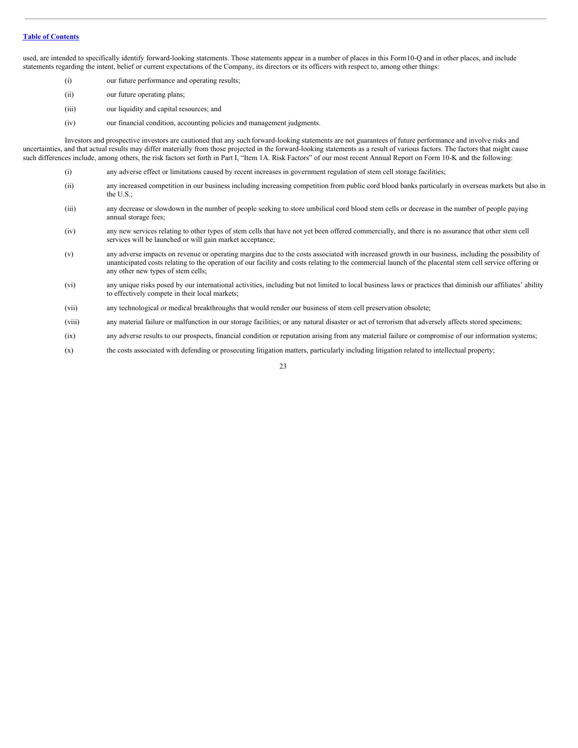used, are intended to specifically identify forward-looking statements. Those statements appear in a number of places in this Form10-Q and in other places, and include statements regarding the intent, belief or current expectations of the Company, its directors or its officers with respect to, among other things:

- (i) our future performance and operating results;
- (ii) our future operating plans;
- (iii) our liquidity and capital resources; and
- (iv) our financial condition, accounting policies and management judgments.

Investors and prospective investors are cautioned that any such forward-looking statements are not guarantees of future performance and involve risks and uncertainties, and that actual results may differ materially from those projected in the forward-looking statements as a result of various factors. The factors that might cause such differences include, among others, the risk factors set forth in Part I, "Item 1A. Risk Factors" of our most recent Annual Report on Form 10-K and the following:

- (i) any adverse effect or limitations caused by recent increases in government regulation of stem cell storage facilities;
- (ii) any increased competition in our business including increasing competition from public cord blood banks particularly in overseas markets but also in the U.S.;
- (iii) any decrease or slowdown in the number of people seeking to store umbilical cord blood stem cells or decrease in the number of people paying annual storage fees;
- (iv) any new services relating to other types of stem cells that have not yet been offered commercially, and there is no assurance that other stem cell services will be launched or will gain market acceptance;
- (v) any adverse impacts on revenue or operating margins due to the costs associated with increased growth in our business, including the possibility of unanticipated costs relating to the operation of our facility and costs relating to the commercial launch of the placental stem cell service offering or any other new types of stem cells;
- (vi) any unique risks posed by our international activities, including but not limited to local business laws or practices that diminish our affiliates' ability to effectively compete in their local markets;
- (vii) any technological or medical breakthroughs that would render our business of stem cell preservation obsolete;
- (viii) any material failure or malfunction in our storage facilities; or any natural disaster or act of terrorism that adversely affects stored specimens;
- (ix) any adverse results to our prospects, financial condition or reputation arising from any material failure or compromise of our information systems;
- (x) the costs associated with defending or prosecuting litigation matters, particularly including litigation related to intellectual property;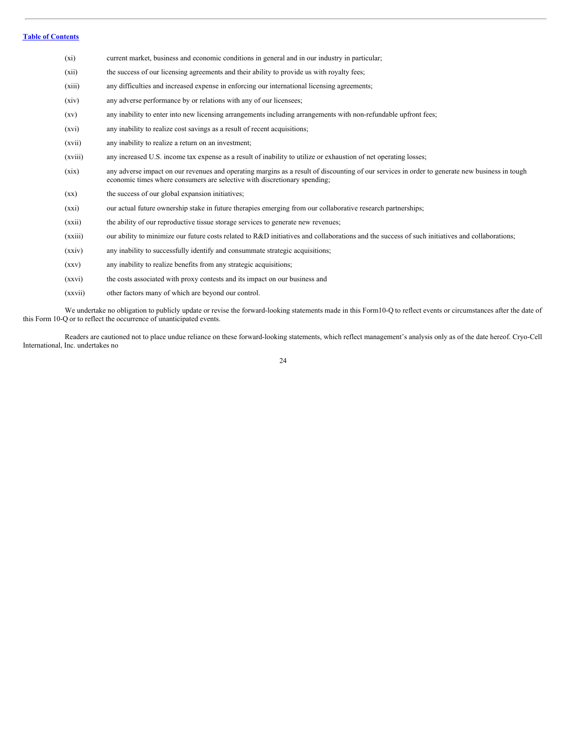#### **Table of [Contents](#page-2-0)**

| (xi)    | current market, business and economic conditions in general and in our industry in particular;                                                                                                                              |
|---------|-----------------------------------------------------------------------------------------------------------------------------------------------------------------------------------------------------------------------------|
| (xii)   | the success of our licensing agreements and their ability to provide us with royalty fees;                                                                                                                                  |
| (xiii)  | any difficulties and increased expense in enforcing our international licensing agreements;                                                                                                                                 |
| (xiv)   | any adverse performance by or relations with any of our licensees;                                                                                                                                                          |
| (xv)    | any inability to enter into new licensing arrangements including arrangements with non-refundable upfront fees;                                                                                                             |
| (xvi)   | any inability to realize cost savings as a result of recent acquisitions;                                                                                                                                                   |
| (xvii)  | any inability to realize a return on an investment;                                                                                                                                                                         |
| (xviii) | any increased U.S. income tax expense as a result of inability to utilize or exhaustion of net operating losses;                                                                                                            |
| (xix)   | any adverse impact on our revenues and operating margins as a result of discounting of our services in order to generate new business in tough<br>economic times where consumers are selective with discretionary spending; |
| (xx)    | the success of our global expansion initiatives;                                                                                                                                                                            |
| (xxi)   | our actual future ownership stake in future therapies emerging from our collaborative research partnerships;                                                                                                                |
| (xxii)  | the ability of our reproductive tissue storage services to generate new revenues;                                                                                                                                           |
| (xxiii) | our ability to minimize our future costs related to R&D initiatives and collaborations and the success of such initiatives and collaborations;                                                                              |
| (xxiv)  | any inability to successfully identify and consummate strategic acquisitions;                                                                                                                                               |
| (xxy)   | any inability to realize benefits from any strategic acquisitions;                                                                                                                                                          |
| (xxvi)  | the costs associated with proxy contests and its impact on our business and                                                                                                                                                 |

(xxvii) other factors many of which are beyond our control.

We undertake no obligation to publicly update or revise the forward-looking statements made in this Form10-Q to reflect events or circumstances after the date of this Form 10-Q or to reflect the occurrence of unanticipated events.

Readers are cautioned not to place undue reliance on these forward-looking statements, which reflect management's analysis only as of the date hereof. Cryo-Cell International, Inc. undertakes no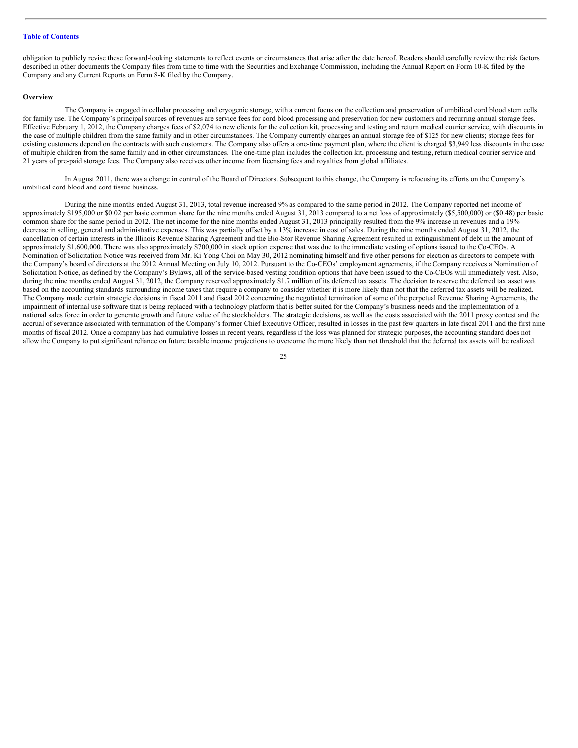#### **Table of [Contents](#page-2-0)**

obligation to publicly revise these forward-looking statements to reflect events or circumstances that arise after the date hereof. Readers should carefully review the risk factors described in other documents the Company files from time to time with the Securities and Exchange Commission, including the Annual Report on Form 10-K filed by the Company and any Current Reports on Form 8-K filed by the Company.

#### **Overview**

The Company is engaged in cellular processing and cryogenic storage, with a current focus on the collection and preservation of umbilical cord blood stem cells for family use. The Company's principal sources of revenues are service fees for cord blood processing and preservation for new customers and recurring annual storage fees. Effective February 1, 2012, the Company charges fees of \$2,074 to new clients for the collection kit, processing and testing and return medical courier service, with discounts in the case of multiple children from the same family and in other circumstances. The Company currently charges an annual storage fee of \$125 for new clients; storage fees for existing customers depend on the contracts with such customers. The Company also offers a one-time payment plan, where the client is charged \$3,949 less discounts in the case of multiple children from the same family and in other circumstances. The one-time plan includes the collection kit, processing and testing, return medical courier service and 21 years of pre-paid storage fees. The Company also receives other income from licensing fees and royalties from global affiliates.

In August 2011, there was a change in control of the Board of Directors. Subsequent to this change, the Company is refocusing its efforts on the Company's umbilical cord blood and cord tissue business.

During the nine months ended August 31, 2013, total revenue increased 9% as compared to the same period in 2012. The Company reported net income of approximately \$195,000 or \$0.02 per basic common share for the nine months ended August 31, 2013 compared to a net loss of approximately (\$5,500,000) or (\$0.48) per basic common share for the same period in 2012. The net income for the nine months ended August 31, 2013 principally resulted from the 9% increase in revenues and a 19% decrease in selling, general and administrative expenses. This was partially offset by a 13% increase in cost of sales. During the nine months ended August 31, 2012, the cancellation of certain interests in the Illinois Revenue Sharing Agreement and the Bio-Stor Revenue Sharing Agreement resulted in extinguishment of debt in the amount of approximately \$1,600,000. There was also approximately \$700,000 in stock option expense that was due to the immediate vesting of options issued to the Co-CEOs. A Nomination of Solicitation Notice was received from Mr. Ki Yong Choi on May 30, 2012 nominating himself and five other persons for election as directors to compete with the Company's board of directors at the 2012 Annual Meeting on July 10, 2012. Pursuant to the Co-CEOs' employment agreements, if the Company receives a Nomination of Solicitation Notice, as defined by the Company's Bylaws, all of the service-based vesting condition options that have been issued to the Co-CEOs will immediately vest. Also, during the nine months ended August 31, 2012, the Company reserved approximately \$1.7 million of its deferred tax assets. The decision to reserve the deferred tax asset was based on the accounting standards surrounding income taxes that require a company to consider whether it is more likely than not that the deferred tax assets will be realized. The Company made certain strategic decisions in fiscal 2011 and fiscal 2012 concerning the negotiated termination of some of the perpetual Revenue Sharing Agreements, the impairment of internal use software that is being replaced with a technology platform that is better suited for the Company's business needs and the implementation of a national sales force in order to generate growth and future value of the stockholders. The strategic decisions, as well as the costs associated with the 2011 proxy contest and the accrual of severance associated with termination of the Company's former Chief Executive Officer, resulted in losses in the past few quarters in late fiscal 2011 and the first nine months of fiscal 2012. Once a company has had cumulative losses in recent years, regardless if the loss was planned for strategic purposes, the accounting standard does not allow the Company to put significant reliance on future taxable income projections to overcome the more likely than not threshold that the deferred tax assets will be realized.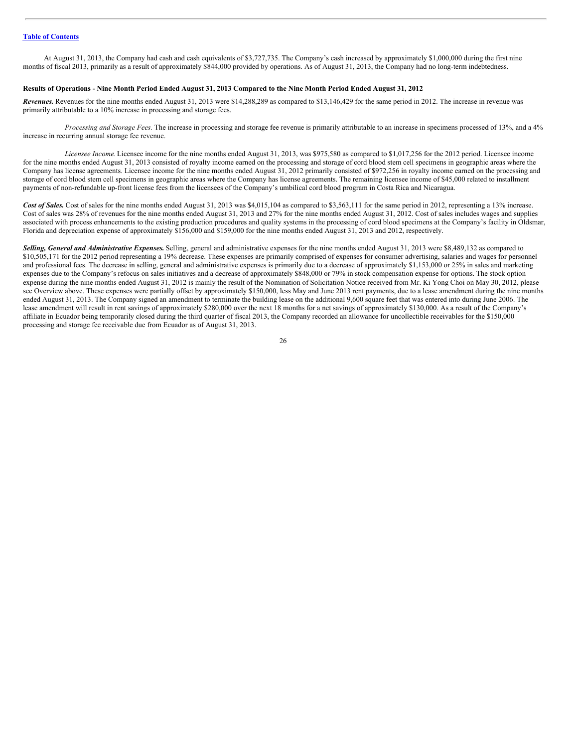At August 31, 2013, the Company had cash and cash equivalents of \$3,727,735. The Company's cash increased by approximately \$1,000,000 during the first nine months of fiscal 2013, primarily as a result of approximately \$844,000 provided by operations. As of August 31, 2013, the Company had no long-term indebtedness.

#### Results of Operations - Nine Month Period Ended August 31, 2013 Compared to the Nine Month Period Ended August 31, 2012

*Revenues.* Revenues for the nine months ended August 31, 2013 were \$14,288,289 as compared to \$13,146,429 for the same period in 2012. The increase in revenue was primarily attributable to a 10% increase in processing and storage fees.

*Processing and Storage Fees.* The increase in processing and storage fee revenue is primarily attributable to an increase in specimens processed of 13%, and a 4% increase in recurring annual storage fee revenue.

*Licensee Income.* Licensee income for the nine months ended August 31, 2013, was \$975,580 as compared to \$1,017,256 for the 2012 period. Licensee income for the nine months ended August 31, 2013 consisted of royalty income earned on the processing and storage of cord blood stem cell specimens in geographic areas where the Company has license agreements. Licensee income for the nine months ended August 31, 2012 primarily consisted of \$972,256 in royalty income earned on the processing and storage of cord blood stem cell specimens in geographic areas where the Company has license agreements. The remaining licensee income of \$45,000 related to installment payments of non-refundable up-front license fees from the licensees of the Company's umbilical cord blood program in Costa Rica and Nicaragua.

*Cost of Sales.* Cost of sales for the nine months ended August 31, 2013 was \$4,015,104 as compared to \$3,563,111 for the same period in 2012, representing a 13% increase. Cost of sales was 28% of revenues for the nine months ended August 31, 2013 and 27% for the nine months ended August 31, 2012. Cost of sales includes wages and supplies associated with process enhancements to the existing production procedures and quality systems in the processing of cord blood specimens at the Company's facility in Oldsmar, Florida and depreciation expense of approximately \$156,000 and \$159,000 for the nine months ended August 31, 2013 and 2012, respectively.

*Selling, General and Administrative Expenses.* Selling, general and administrative expenses for the nine months ended August 31, 2013 were \$8,489,132 as compared to \$10,505,171 for the 2012 period representing a 19% decrease. These expenses are primarily comprised of expenses for consumer advertising, salaries and wages for personnel and professional fees. The decrease in selling, general and administrative expenses is primarily due to a decrease of approximately \$1,153,000 or 25% in sales and marketing expenses due to the Company's refocus on sales initiatives and a decrease of approximately \$848,000 or 79% in stock compensation expense for options. The stock option expense during the nine months ended August 31, 2012 is mainly the result of the Nomination of Solicitation Notice received from Mr. Ki Yong Choi on May 30, 2012, please see Overview above. These expenses were partially offset by approximately \$150,000, less May and June 2013 rent payments, due to a lease amendment during the nine months ended August 31, 2013. The Company signed an amendment to terminate the building lease on the additional 9,600 square feet that was entered into during June 2006. The lease amendment will result in rent savings of approximately \$280,000 over the next 18 months for a net savings of approximately \$130,000. As a result of the Company's affiliate in Ecuador being temporarily closed during the third quarter of fiscal 2013, the Company recorded an allowance for uncollectible receivables for the \$150,000 processing and storage fee receivable due from Ecuador as of August 31, 2013.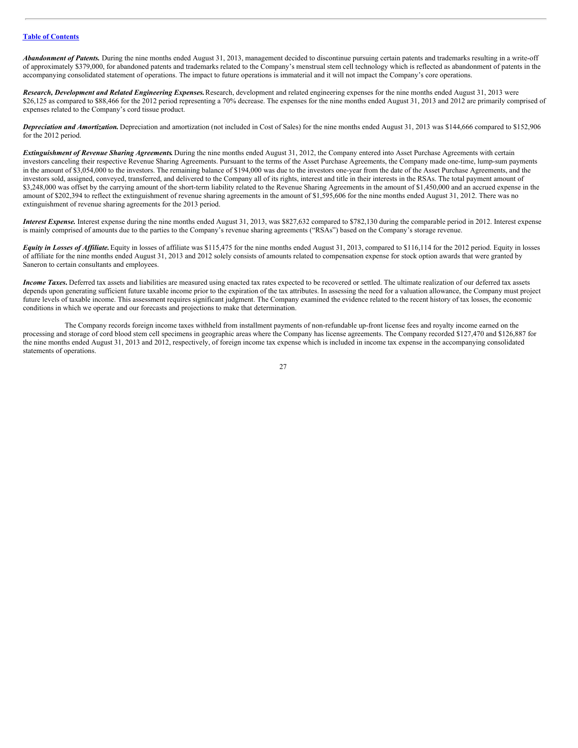#### **Table of [Contents](#page-2-0)**

*Abandonment of Patents.* During the nine months ended August 31, 2013, management decided to discontinue pursuing certain patents and trademarks resulting in a write-off of approximately \$379,000, for abandoned patents and trademarks related to the Company's menstrual stem cell technology which is reflected as abandonment of patents in the accompanying consolidated statement of operations. The impact to future operations is immaterial and it will not impact the Company's core operations.

*Research, Development and Related Engineering Expenses.*Research, development and related engineering expenses for the nine months ended August 31, 2013 were \$26,125 as compared to \$88,466 for the 2012 period representing a 70% decrease. The expenses for the nine months ended August 31, 2013 and 2012 are primarily comprised of expenses related to the Company's cord tissue product.

*Depreciation and Amortization***.** Depreciation and amortization (not included in Cost of Sales) for the nine months ended August 31, 2013 was \$144,666 compared to \$152,906 for the 2012 period.

*Extinguishment of Revenue Sharing Agreements***.** During the nine months ended August 31, 2012, the Company entered into Asset Purchase Agreements with certain investors canceling their respective Revenue Sharing Agreements. Pursuant to the terms of the Asset Purchase Agreements, the Company made one-time, lump-sum payments in the amount of \$3,054,000 to the investors. The remaining balance of \$194,000 was due to the investors one-year from the date of the Asset Purchase Agreements, and the investors sold, assigned, conveyed, transferred, and delivered to the Company all of its rights, interest and title in their interests in the RSAs. The total payment amount of \$3,248,000 was offset by the carrying amount of the short-term liability related to the Revenue Sharing Agreements in the amount of \$1,450,000 and an accrued expense in the amount of \$202,394 to reflect the extinguishment of revenue sharing agreements in the amount of \$1,595,606 for the nine months ended August 31, 2012. There was no extinguishment of revenue sharing agreements for the 2013 period.

*Interest Expense.* Interest expense during the nine months ended August 31, 2013, was \$827,632 compared to \$782,130 during the comparable period in 2012. Interest expense is mainly comprised of amounts due to the parties to the Company's revenue sharing agreements ("RSAs") based on the Company's storage revenue.

*Equity in Losses of Af iliate.*Equity in losses of affiliate was \$115,475 for the nine months ended August 31, 2013, compared to \$116,114 for the 2012 period. Equity in losses of affiliate for the nine months ended August 31, 2013 and 2012 solely consists of amounts related to compensation expense for stock option awards that were granted by Saneron to certain consultants and employees.

*Income Taxes*. Deferred tax assets and liabilities are measured using enacted tax rates expected to be recovered or settled. The ultimate realization of our deferred tax assets depends upon generating sufficient future taxable income prior to the expiration of the tax attributes. In assessing the need for a valuation allowance, the Company must project future levels of taxable income. This assessment requires significant judgment. The Company examined the evidence related to the recent history of tax losses, the economic conditions in which we operate and our forecasts and projections to make that determination.

The Company records foreign income taxes withheld from installment payments of non-refundable up-front license fees and royalty income earned on the processing and storage of cord blood stem cell specimens in geographic areas where the Company has license agreements. The Company recorded \$127,470 and \$126,887 for the nine months ended August 31, 2013 and 2012, respectively, of foreign income tax expense which is included in income tax expense in the accompanying consolidated statements of operations.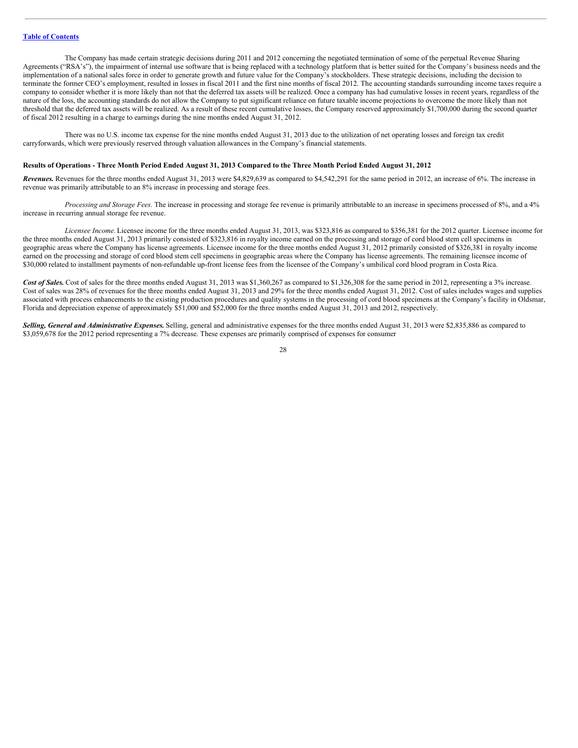The Company has made certain strategic decisions during 2011 and 2012 concerning the negotiated termination of some of the perpetual Revenue Sharing Agreements ("RSA's"), the impairment of internal use software that is being replaced with a technology platform that is better suited for the Company's business needs and the implementation of a national sales force in order to generate growth and future value for the Company's stockholders. These strategic decisions, including the decision to terminate the former CEO's employment, resulted in losses in fiscal 2011 and the first nine months of fiscal 2012. The accounting standards surrounding income taxes require a company to consider whether it is more likely than not that the deferred tax assets will be realized. Once a company has had cumulative losses in recent years, regardless of the nature of the loss, the accounting standards do not allow the Company to put significant reliance on future taxable income projections to overcome the more likely than not threshold that the deferred tax assets will be realized. As a result of these recent cumulative losses, the Company reserved approximately \$1,700,000 during the second quarter of fiscal 2012 resulting in a charge to earnings during the nine months ended August 31, 2012.

There was no U.S. income tax expense for the nine months ended August 31, 2013 due to the utilization of net operating losses and foreign tax credit carryforwards, which were previously reserved through valuation allowances in the Company's financial statements.

#### Results of Operations - Three Month Period Ended August 31, 2013 Compared to the Three Month Period Ended August 31, 2012

*Revenues.* Revenues for the three months ended August 31, 2013 were \$4,829,639 as compared to \$4,542,291 for the same period in 2012, an increase of 6%. The increase in revenue was primarily attributable to an 8% increase in processing and storage fees.

*Processing and Storage Fees.* The increase in processing and storage fee revenue is primarily attributable to an increase in specimens processed of 8%, and a 4% increase in recurring annual storage fee revenue.

*Licensee Income.* Licensee income for the three months ended August 31, 2013, was \$323,816 as compared to \$356,381 for the 2012 quarter. Licensee income for the three months ended August 31, 2013 primarily consisted of \$323,816 in royalty income earned on the processing and storage of cord blood stem cell specimens in geographic areas where the Company has license agreements. Licensee income for the three months ended August 31, 2012 primarily consisted of \$326,381 in royalty income earned on the processing and storage of cord blood stem cell specimens in geographic areas where the Company has license agreements. The remaining licensee income of \$30,000 related to installment payments of non-refundable up-front license fees from the licensee of the Company's umbilical cord blood program in Costa Rica.

Cost of Sales. Cost of sales for the three months ended August 31, 2013 was \$1,360,267 as compared to \$1,326,308 for the same period in 2012, representing a 3% increase. Cost of sales was 28% of revenues for the three months ended August 31, 2013 and 29% for the three months ended August 31, 2012. Cost of sales includes wages and supplies associated with process enhancements to the existing production procedures and quality systems in the processing of cord blood specimens at the Company's facility in Oldsmar, Florida and depreciation expense of approximately \$51,000 and \$52,000 for the three months ended August 31, 2013 and 2012, respectively.

*Selling, General and Administrative Expenses.* Selling, general and administrative expenses for the three months ended August 31, 2013 were \$2,835,886 as compared to \$3,059,678 for the 2012 period representing a 7% decrease. These expenses are primarily comprised of expenses for consumer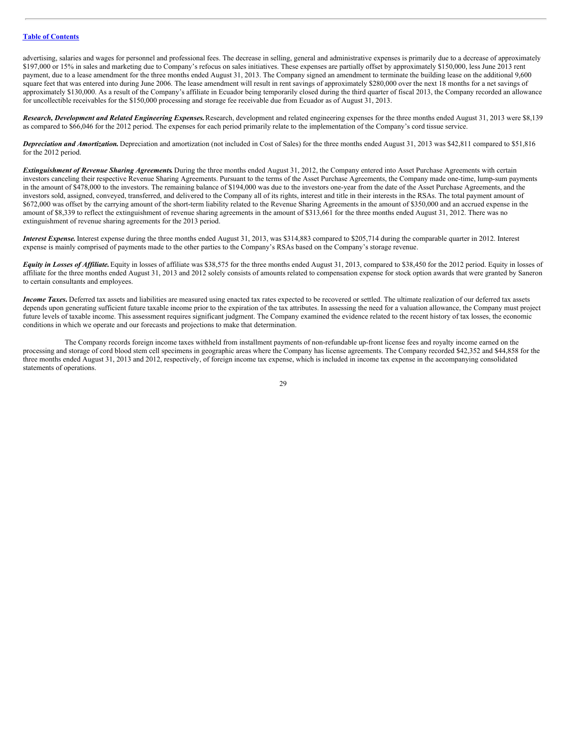#### **Table of [Contents](#page-2-0)**

advertising, salaries and wages for personnel and professional fees. The decrease in selling, general and administrative expenses is primarily due to a decrease of approximately \$197,000 or 15% in sales and marketing due to Company's refocus on sales initiatives. These expenses are partially offset by approximately \$150,000, less June 2013 rent payment, due to a lease amendment for the three months ended August 31, 2013. The Company signed an amendment to terminate the building lease on the additional 9,600 square feet that was entered into during June 2006. The lease amendment will result in rent savings of approximately \$280,000 over the next 18 months for a net savings of approximately \$130,000. As a result of the Company's affiliate in Ecuador being temporarily closed during the third quarter of fiscal 2013, the Company recorded an allowance for uncollectible receivables for the \$150,000 processing and storage fee receivable due from Ecuador as of August 31, 2013.

*Research, Development and Related Engineering Expenses.*Research, development and related engineering expenses for the three months ended August 31, 2013 were \$8,139 as compared to \$66,046 for the 2012 period. The expenses for each period primarily relate to the implementation of the Company's cord tissue service.

*Depreciation and Amortization***.** Depreciation and amortization (not included in Cost of Sales) for the three months ended August 31, 2013 was \$42,811 compared to \$51,816 for the 2012 period.

*Extinguishment of Revenue Sharing Agreements***.** During the three months ended August 31, 2012, the Company entered into Asset Purchase Agreements with certain investors canceling their respective Revenue Sharing Agreements. Pursuant to the terms of the Asset Purchase Agreements, the Company made one-time, lump-sum payments in the amount of \$478,000 to the investors. The remaining balance of \$194,000 was due to the investors one-year from the date of the Asset Purchase Agreements, and the investors sold, assigned, conveyed, transferred, and delivered to the Company all of its rights, interest and title in their interests in the RSAs. The total payment amount of \$672,000 was offset by the carrying amount of the short-term liability related to the Revenue Sharing Agreements in the amount of \$350,000 and an accrued expense in the amount of \$8,339 to reflect the extinguishment of revenue sharing agreements in the amount of \$313,661 for the three months ended August 31, 2012. There was no extinguishment of revenue sharing agreements for the 2013 period.

*Interest Expense***.** Interest expense during the three months ended August 31, 2013, was \$314,883 compared to \$205,714 during the comparable quarter in 2012. Interest expense is mainly comprised of payments made to the other parties to the Company's RSAs based on the Company's storage revenue.

*Equity in Losses of Affiliate.* Equity in losses of affiliate was \$38,575 for the three months ended August 31, 2013, compared to \$38,450 for the 2012 period. Equity in losses of affiliate for the three months ended August 31, 2013 and 2012 solely consists of amounts related to compensation expense for stock option awards that were granted by Saneron to certain consultants and employees.

*Income Taxes*. Deferred tax assets and liabilities are measured using enacted tax rates expected to be recovered or settled. The ultimate realization of our deferred tax assets depends upon generating sufficient future taxable income prior to the expiration of the tax attributes. In assessing the need for a valuation allowance, the Company must project future levels of taxable income. This assessment requires significant judgment. The Company examined the evidence related to the recent history of tax losses, the economic conditions in which we operate and our forecasts and projections to make that determination.

The Company records foreign income taxes withheld from installment payments of non-refundable up-front license fees and royalty income earned on the processing and storage of cord blood stem cell specimens in geographic areas where the Company has license agreements. The Company recorded \$42,352 and \$44,858 for the three months ended August 31, 2013 and 2012, respectively, of foreign income tax expense, which is included in income tax expense in the accompanying consolidated statements of operations.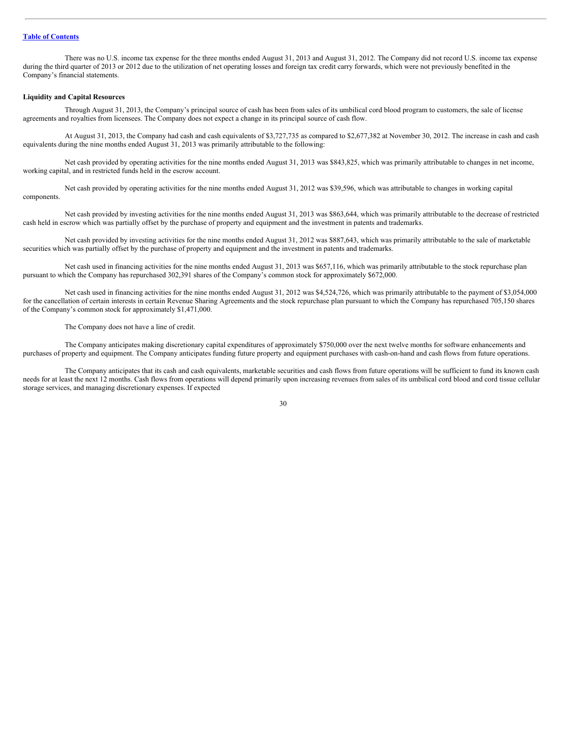There was no U.S. income tax expense for the three months ended August 31, 2013 and August 31, 2012. The Company did not record U.S. income tax expense during the third quarter of 2013 or 2012 due to the utilization of net operating losses and foreign tax credit carry forwards, which were not previously benefited in the Company's financial statements.

#### **Liquidity and Capital Resources**

Through August 31, 2013, the Company's principal source of cash has been from sales of its umbilical cord blood program to customers, the sale of license agreements and royalties from licensees. The Company does not expect a change in its principal source of cash flow.

At August 31, 2013, the Company had cash and cash equivalents of \$3,727,735 as compared to \$2,677,382 at November 30, 2012. The increase in cash and cash equivalents during the nine months ended August 31, 2013 was primarily attributable to the following:

Net cash provided by operating activities for the nine months ended August 31, 2013 was \$843,825, which was primarily attributable to changes in net income, working capital, and in restricted funds held in the escrow account.

Net cash provided by operating activities for the nine months ended August 31, 2012 was \$39,596, which was attributable to changes in working capital components.

Net cash provided by investing activities for the nine months ended August 31, 2013 was \$863,644, which was primarily attributable to the decrease of restricted cash held in escrow which was partially offset by the purchase of property and equipment and the investment in patents and trademarks.

Net cash provided by investing activities for the nine months ended August 31, 2012 was \$887,643, which was primarily attributable to the sale of marketable securities which was partially offset by the purchase of property and equipment and the investment in patents and trademarks.

Net cash used in financing activities for the nine months ended August 31, 2013 was \$657,116, which was primarily attributable to the stock repurchase plan pursuant to which the Company has repurchased 302,391 shares of the Company's common stock for approximately \$672,000.

Net cash used in financing activities for the nine months ended August 31, 2012 was \$4,524,726, which was primarily attributable to the payment of \$3,054,000 for the cancellation of certain interests in certain Revenue Sharing Agreements and the stock repurchase plan pursuant to which the Company has repurchased 705,150 shares of the Company's common stock for approximately \$1,471,000.

The Company does not have a line of credit.

The Company anticipates making discretionary capital expenditures of approximately \$750,000 over the next twelve months for software enhancements and purchases of property and equipment. The Company anticipates funding future property and equipment purchases with cash-on-hand and cash flows from future operations.

The Company anticipates that its cash and cash equivalents, marketable securities and cash flows from future operations will be sufficient to fund its known cash needs for at least the next 12 months. Cash flows from operations will depend primarily upon increasing revenues from sales of its umbilical cord blood and cord tissue cellular storage services, and managing discretionary expenses. If expected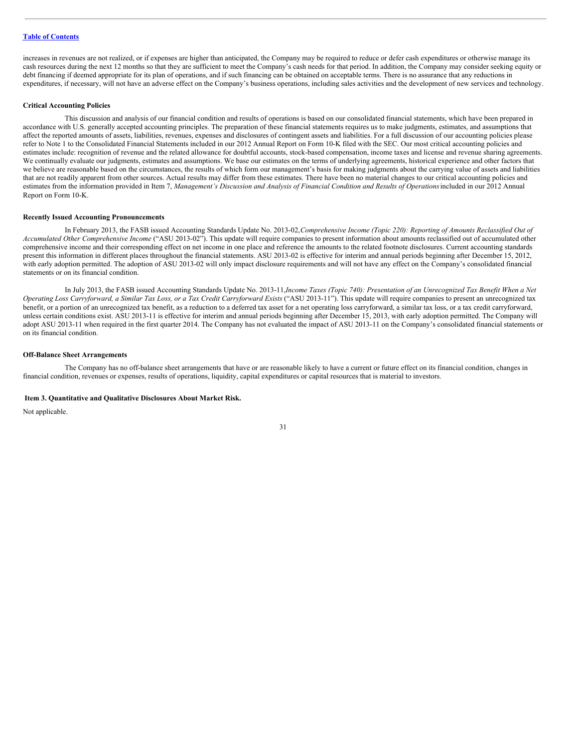#### **Table of [Contents](#page-2-0)**

increases in revenues are not realized, or if expenses are higher than anticipated, the Company may be required to reduce or defer cash expenditures or otherwise manage its cash resources during the next 12 months so that they are sufficient to meet the Company's cash needs for that period. In addition, the Company may consider seeking equity or debt financing if deemed appropriate for its plan of operations, and if such financing can be obtained on acceptable terms. There is no assurance that any reductions in expenditures, if necessary, will not have an adverse effect on the Company's business operations, including sales activities and the development of new services and technology.

#### **Critical Accounting Policies**

This discussion and analysis of our financial condition and results of operations is based on our consolidated financial statements, which have been prepared in accordance with U.S. generally accepted accounting principles. The preparation of these financial statements requires us to make judgments, estimates, and assumptions that affect the reported amounts of assets, liabilities, revenues, expenses and disclosures of contingent assets and liabilities. For a full discussion of our accounting policies please refer to Note 1 to the Consolidated Financial Statements included in our 2012 Annual Report on Form 10-K filed with the SEC. Our most critical accounting policies and estimates include: recognition of revenue and the related allowance for doubtful accounts, stock-based compensation, income taxes and license and revenue sharing agreements. We continually evaluate our judgments, estimates and assumptions. We base our estimates on the terms of underlying agreements, historical experience and other factors that we believe are reasonable based on the circumstances, the results of which form our management's basis for making judgments about the carrying value of assets and liabilities that are not readily apparent from other sources. Actual results may differ from these estimates. There have been no material changes to our critical accounting policies and estimates from the information provided in Item 7, Management's Discussion and Analysis of Financial Condition and Results of Operations included in our 2012 Annual Report on Form 10-K.

#### **Recently Issued Accounting Pronouncements**

In February 2013, the FASB issued Accounting Standards Update No. 2013-02,*Comprehensive Income (Topic 220): Reporting of Amounts Reclassified Out of Accumulated Other Comprehensive Income* ("ASU 2013-02"). This update will require companies to present information about amounts reclassified out of accumulated other comprehensive income and their corresponding effect on net income in one place and reference the amounts to the related footnote disclosures. Current accounting standards present this information in different places throughout the financial statements. ASU 2013-02 is effective for interim and annual periods beginning after December 15, 2012, with early adoption permitted. The adoption of ASU 2013-02 will only impact disclosure requirements and will not have any effect on the Company's consolidated financial statements or on its financial condition.

In July 2013, the FASB issued Accounting Standards Update No. 2013-11, Income Taxes (Topic 740): Presentation of an Unrecognized Tax Benefit When a Net Operating Loss Carryforward, a Similar Tax Loss, or a Tax Credit Carryforward Exists ("ASU 2013-11"). This update will require companies to present an unrecognized tax benefit, or a portion of an unrecognized tax benefit, as a reduction to a deferred tax asset for a net operating loss carryforward, a similar tax loss, or a tax credit carryforward, unless certain conditions exist. ASU 2013-11 is effective for interim and annual periods beginning after December 15, 2013, with early adoption permitted. The Company will adopt ASU 2013-11 when required in the first quarter 2014. The Company has not evaluated the impact of ASU 2013-11 on the Company's consolidated financial statements or on its financial condition.

#### **Off-Balance Sheet Arrangements**

The Company has no off-balance sheet arrangements that have or are reasonable likely to have a current or future effect on its financial condition, changes in financial condition, revenues or expenses, results of operations, liquidity, capital expenditures or capital resources that is material to investors.

#### <span id="page-31-0"></span>**Item 3. Quantitative and Qualitative Disclosures About Market Risk.**

Not applicable.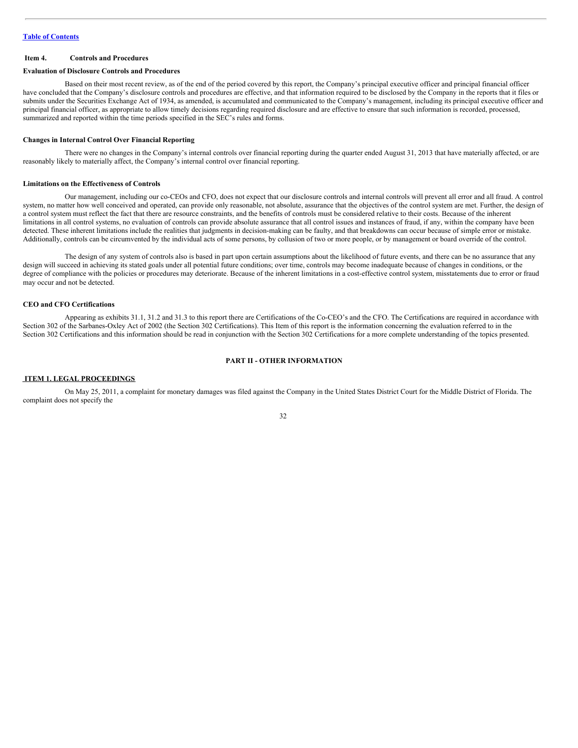#### <span id="page-32-0"></span>**Item 4. Controls and Procedures**

#### **Evaluation of Disclosure Controls and Procedures**

Based on their most recent review, as of the end of the period covered by this report, the Company's principal executive officer and principal financial officer have concluded that the Company's disclosure controls and procedures are effective, and that information required to be disclosed by the Company in the reports that it files or submits under the Securities Exchange Act of 1934, as amended, is accumulated and communicated to the Company's management, including its principal executive officer and principal financial officer, as appropriate to allow timely decisions regarding required disclosure and are effective to ensure that such information is recorded, processed, summarized and reported within the time periods specified in the SEC's rules and forms.

#### **Changes in Internal Control Over Financial Reporting**

There were no changes in the Company's internal controls over financial reporting during the quarter ended August 31, 2013 that have materially affected, or are reasonably likely to materially affect, the Company's internal control over financial reporting.

#### **Limitations on the Effectiveness of Controls**

Our management, including our co-CEOs and CFO, does not expect that our disclosure controls and internal controls will prevent all error and all fraud. A control system, no matter how well conceived and operated, can provide only reasonable, not absolute, assurance that the objectives of the control system are met. Further, the design of a control system must reflect the fact that there are resource constraints, and the benefits of controls must be considered relative to their costs. Because of the inherent limitations in all control systems, no evaluation of controls can provide absolute assurance that all control issues and instances of fraud, if any, within the company have been detected. These inherent limitations include the realities that judgments in decision-making can be faulty, and that breakdowns can occur because of simple error or mistake. Additionally, controls can be circumvented by the individual acts of some persons, by collusion of two or more people, or by management or board override of the control.

The design of any system of controls also is based in part upon certain assumptions about the likelihood of future events, and there can be no assurance that any design will succeed in achieving its stated goals under all potential future conditions; over time, controls may become inadequate because of changes in conditions, or the degree of compliance with the policies or procedures may deteriorate. Because of the inherent limitations in a cost-effective control system, misstatements due to error or fraud may occur and not be detected.

#### **CEO and CFO Certifications**

Appearing as exhibits 31.1, 31.2 and 31.3 to this report there are Certifications of the Co-CEO's and the CFO. The Certifications are required in accordance with Section 302 of the Sarbanes-Oxley Act of 2002 (the Section 302 Certifications). This Item of this report is the information concerning the evaluation referred to in the Section 302 Certifications and this information should be read in conjunction with the Section 302 Certifications for a more complete understanding of the topics presented.

#### <span id="page-32-1"></span>**PART II - OTHER INFORMATION**

#### <span id="page-32-2"></span>**ITEM 1. LEGAL PROCEEDINGS**

On May 25, 2011, a complaint for monetary damages was filed against the Company in the United States District Court for the Middle District of Florida. The complaint does not specify the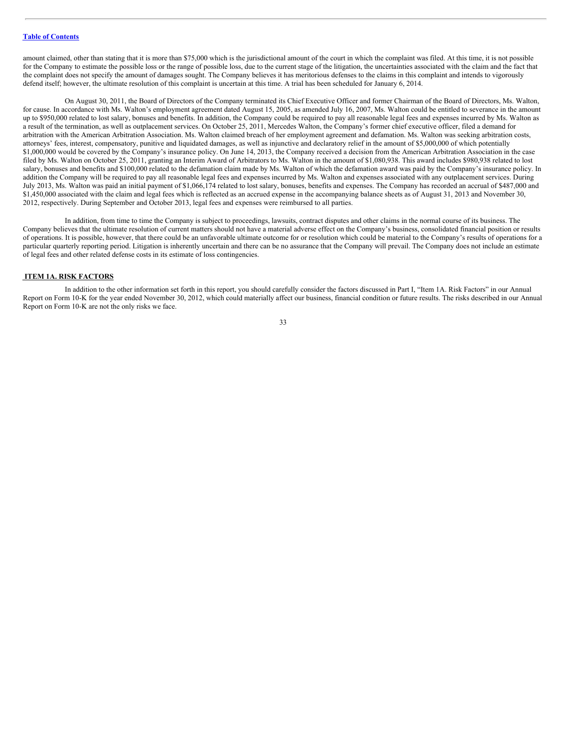amount claimed, other than stating that it is more than \$75,000 which is the jurisdictional amount of the court in which the complaint was filed. At this time, it is not possible for the Company to estimate the possible loss or the range of possible loss, due to the current stage of the litigation, the uncertainties associated with the claim and the fact that the complaint does not specify the amount of damages sought. The Company believes it has meritorious defenses to the claims in this complaint and intends to vigorously defend itself; however, the ultimate resolution of this complaint is uncertain at this time. A trial has been scheduled for January 6, 2014.

On August 30, 2011, the Board of Directors of the Company terminated its Chief Executive Officer and former Chairman of the Board of Directors, Ms. Walton, for cause. In accordance with Ms. Walton's employment agreement dated August 15, 2005, as amended July 16, 2007, Ms. Walton could be entitled to severance in the amount up to \$950,000 related to lost salary, bonuses and benefits. In addition, the Company could be required to pay all reasonable legal fees and expenses incurred by Ms. Walton as a result of the termination, as well as outplacement services. On October 25, 2011, Mercedes Walton, the Company's former chief executive officer, filed a demand for arbitration with the American Arbitration Association. Ms. Walton claimed breach of her employment agreement and defamation. Ms. Walton was seeking arbitration costs, attorneys' fees, interest, compensatory, punitive and liquidated damages, as well as injunctive and declaratory relief in the amount of \$5,000,000 of which potentially \$1,000,000 would be covered by the Company's insurance policy. On June 14, 2013, the Company received a decision from the American Arbitration Association in the case filed by Ms. Walton on October 25, 2011, granting an Interim Award of Arbitrators to Ms. Walton in the amount of \$1,080,938. This award includes \$980,938 related to lost salary, bonuses and benefits and \$100,000 related to the defamation claim made by Ms. Walton of which the defamation award was paid by the Company's insurance policy. In addition the Company will be required to pay all reasonable legal fees and expenses incurred by Ms. Walton and expenses associated with any outplacement services. During July 2013, Ms. Walton was paid an initial payment of \$1,066,174 related to lost salary, bonuses, benefits and expenses. The Company has recorded an accrual of \$487,000 and \$1,450,000 associated with the claim and legal fees which is reflected as an accrued expense in the accompanying balance sheets as of August 31, 2013 and November 30, 2012, respectively. During September and October 2013, legal fees and expenses were reimbursed to all parties.

In addition, from time to time the Company is subject to proceedings, lawsuits, contract disputes and other claims in the normal course of its business. The Company believes that the ultimate resolution of current matters should not have a material adverse effect on the Company's business, consolidated financial position or results of operations. It is possible, however, that there could be an unfavorable ultimate outcome for or resolution which could be material to the Company's results of operations for a particular quarterly reporting period. Litigation is inherently uncertain and there can be no assurance that the Company will prevail. The Company does not include an estimate of legal fees and other related defense costs in its estimate of loss contingencies.

#### <span id="page-33-0"></span>**ITEM 1A. RISK FACTORS**

In addition to the other information set forth in this report, you should carefully consider the factors discussed in Part I, "Item 1A. Risk Factors" in our Annual Report on Form 10-K for the year ended November 30, 2012, which could materially affect our business, financial condition or future results. The risks described in our Annual Report on Form 10-K are not the only risks we face.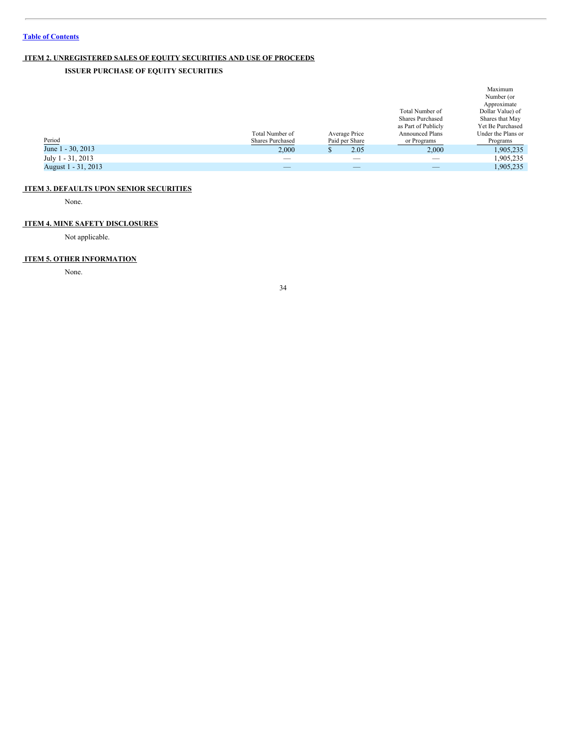# <span id="page-34-0"></span>**ITEM 2. UNREGISTERED SALES OF EQUITY SECURITIES AND USE OF PROCEEDS**

# **ISSUER PURCHASE OF EQUITY SECURITIES**

|                                                  |                         |                |                         | Maximum            |
|--------------------------------------------------|-------------------------|----------------|-------------------------|--------------------|
|                                                  |                         |                |                         | Number (or         |
|                                                  |                         |                |                         | Approximate        |
|                                                  |                         |                | Total Number of         | Dollar Value) of   |
|                                                  |                         |                | <b>Shares Purchased</b> | Shares that May    |
|                                                  |                         |                | as Part of Publicly     | Yet Be Purchased   |
|                                                  | Total Number of         | Average Price  | <b>Announced Plans</b>  | Under the Plans or |
|                                                  | <b>Shares Purchased</b> | Paid per Share | or Programs             | Programs           |
| $\frac{\text{Period}}{\text{June}}$ 1 - 30, 2013 | 2.000                   | 2.05           | 2,000                   | 1,905,235          |
| July 1 - 31, 2013                                | __                      |                | __                      | 1,905,235          |
| August 1 - 31, 2013                              |                         |                |                         | 1.905.235          |

# <span id="page-34-1"></span>**ITEM 3. DEFAULTS UPON SENIOR SECURITIES**

None.

# <span id="page-34-2"></span>**ITEM 4. MINE SAFETY DISCLOSURES**

Not applicable.

# <span id="page-34-3"></span>**ITEM 5. OTHER INFORMATION**

None.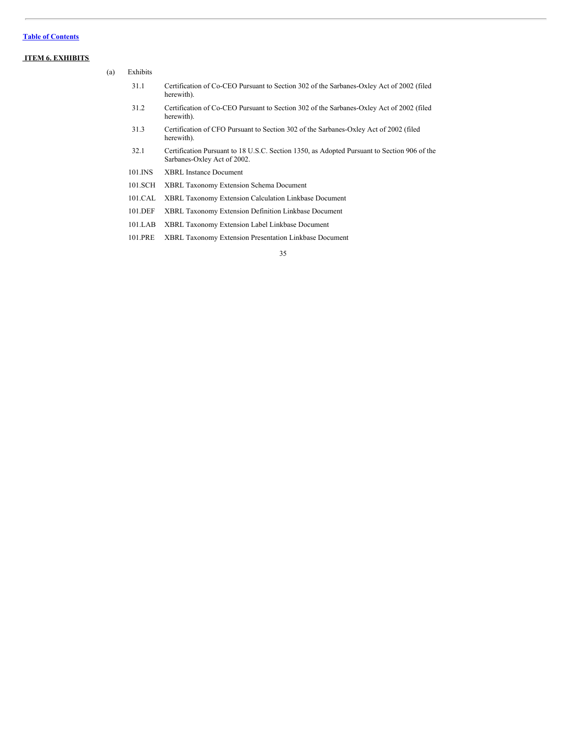#### **Table of [Contents](#page-2-0)**

### <span id="page-35-0"></span>**ITEM 6. EXHIBITS**

| (a) | Exhibits |                                                                                                                            |
|-----|----------|----------------------------------------------------------------------------------------------------------------------------|
|     | 31.1     | Certification of Co-CEO Pursuant to Section 302 of the Sarbanes-Oxley Act of 2002 (filed<br>herewith).                     |
|     | 31.2     | Certification of Co-CEO Pursuant to Section 302 of the Sarbanes-Oxley Act of 2002 (filed<br>herewith).                     |
|     | 31.3     | Certification of CFO Pursuant to Section 302 of the Sarbanes-Oxley Act of 2002 (filed<br>herewith).                        |
|     | 32.1     | Certification Pursuant to 18 U.S.C. Section 1350, as Adopted Pursuant to Section 906 of the<br>Sarbanes-Oxley Act of 2002. |
|     | 101.INS  | <b>XBRL</b> Instance Document                                                                                              |
|     | 101.SCH  | <b>XBRL Taxonomy Extension Schema Document</b>                                                                             |
|     |          |                                                                                                                            |

- 101.CAL XBRL Taxonomy Extension Calculation Linkbase Document
- 101.DEF XBRL Taxonomy Extension Definition Linkbase Document
- 101.LAB XBRL Taxonomy Extension Label Linkbase Document
- 101.PRE XBRL Taxonomy Extension Presentation Linkbase Document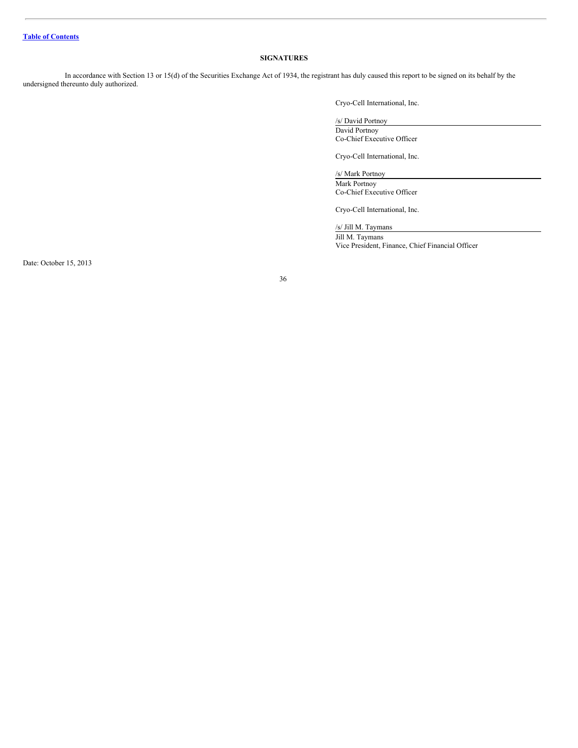#### <span id="page-36-0"></span>**SIGNATURES**

In accordance with Section 13 or 15(d) of the Securities Exchange Act of 1934, the registrant has duly caused this report to be signed on its behalf by the undersigned thereunto duly authorized.

Cryo-Cell International, Inc.

/s/ David Portnoy David Portnoy

Co-Chief Executive Officer

Cryo-Cell International, Inc.

/s/ Mark Portnoy Mark Portnoy Co-Chief Executive Officer

Cryo-Cell International, Inc.

/s/ Jill M. Taymans

Jill M. Taymans Vice President, Finance, Chief Financial Officer

Date: October 15, 2013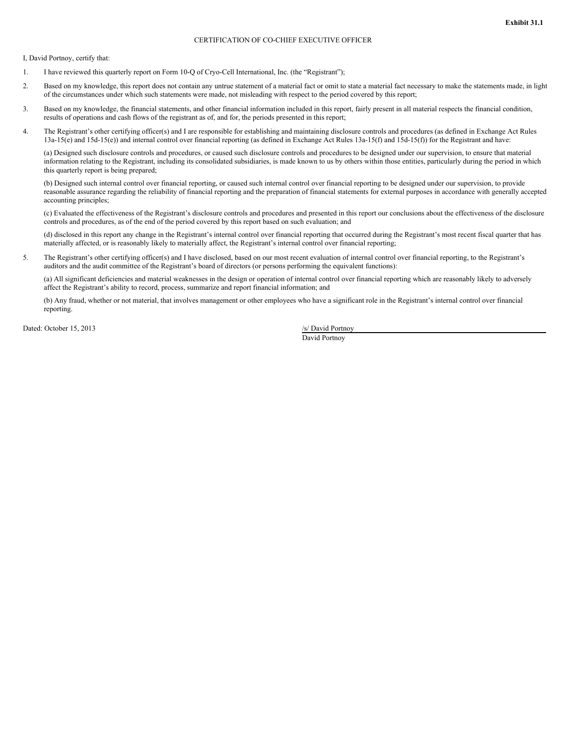#### CERTIFICATION OF CO-CHIEF EXECUTIVE OFFICER

I, David Portnoy, certify that:

- 1. I have reviewed this quarterly report on Form 10-Q of Cryo-Cell International, Inc. (the "Registrant");
- 2. Based on my knowledge, this report does not contain any untrue statement of a material fact or omit to state a material fact necessary to make the statements made, in light of the circumstances under which such statements were made, not misleading with respect to the period covered by this report;
- 3. Based on my knowledge, the financial statements, and other financial information included in this report, fairly present in all material respects the financial condition, results of operations and cash flows of the registrant as of, and for, the periods presented in this report;
- 4. The Registrant's other certifying officer(s) and I are responsible for establishing and maintaining disclosure controls and procedures (as defined in Exchange Act Rules  $13a-15(e)$  and  $15d-15(e)$ ) and internal control over financial reporting (as defined in Exchange Act Rules  $13a-15(f)$  and  $15d-15(f)$ ) for the Registrant and have:

(a) Designed such disclosure controls and procedures, or caused such disclosure controls and procedures to be designed under our supervision, to ensure that material information relating to the Registrant, including its consolidated subsidiaries, is made known to us by others within those entities, particularly during the period in which this quarterly report is being prepared;

(b) Designed such internal control over financial reporting, or caused such internal control over financial reporting to be designed under our supervision, to provide reasonable assurance regarding the reliability of financial reporting and the preparation of financial statements for external purposes in accordance with generally accepted accounting principles;

(c) Evaluated the effectiveness of the Registrant's disclosure controls and procedures and presented in this report our conclusions about the effectiveness of the disclosure controls and procedures, as of the end of the period covered by this report based on such evaluation; and

(d) disclosed in this report any change in the Registrant's internal control over financial reporting that occurred during the Registrant's most recent fiscal quarter that has materially affected, or is reasonably likely to materially affect, the Registrant's internal control over financial reporting;

5. The Registrant's other certifying officer(s) and I have disclosed, based on our most recent evaluation of internal control over financial reporting, to the Registrant's auditors and the audit committee of the Registrant's board of directors (or persons performing the equivalent functions):

(a) All significant deficiencies and material weaknesses in the design or operation of internal control over financial reporting which are reasonably likely to adversely affect the Registrant's ability to record, process, summarize and report financial information; and

(b) Any fraud, whether or not material, that involves management or other employees who have a significant role in the Registrant's internal control over financial reporting.

Dated: October 15, 2013 /s/ David Portnoy

David Portnoy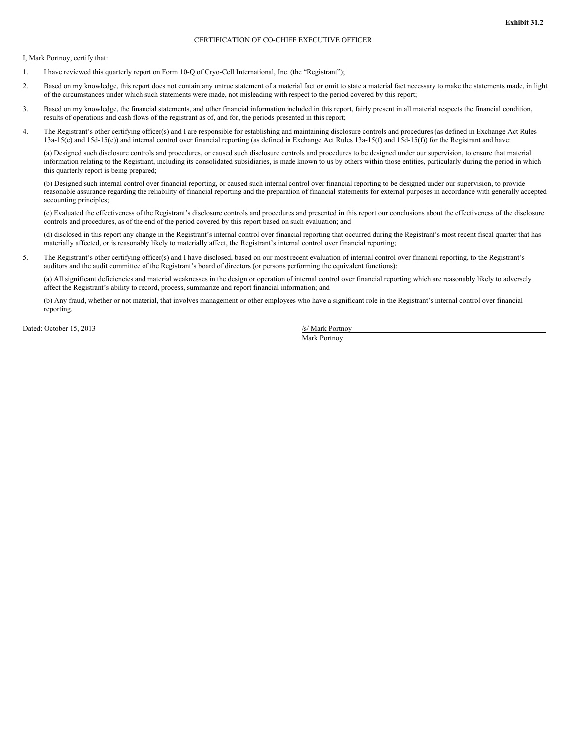#### CERTIFICATION OF CO-CHIEF EXECUTIVE OFFICER

I, Mark Portnoy, certify that:

- 1. I have reviewed this quarterly report on Form 10-Q of Cryo-Cell International, Inc. (the "Registrant");
- 2. Based on my knowledge, this report does not contain any untrue statement of a material fact or omit to state a material fact necessary to make the statements made, in light of the circumstances under which such statements were made, not misleading with respect to the period covered by this report;
- 3. Based on my knowledge, the financial statements, and other financial information included in this report, fairly present in all material respects the financial condition, results of operations and cash flows of the registrant as of, and for, the periods presented in this report;
- 4. The Registrant's other certifying officer(s) and I are responsible for establishing and maintaining disclosure controls and procedures (as defined in Exchange Act Rules  $13a-15(e)$  and  $15d-15(e)$ ) and internal control over financial reporting (as defined in Exchange Act Rules  $13a-15(f)$  and  $15d-15(f)$ ) for the Registrant and have:

(a) Designed such disclosure controls and procedures, or caused such disclosure controls and procedures to be designed under our supervision, to ensure that material information relating to the Registrant, including its consolidated subsidiaries, is made known to us by others within those entities, particularly during the period in which this quarterly report is being prepared;

(b) Designed such internal control over financial reporting, or caused such internal control over financial reporting to be designed under our supervision, to provide reasonable assurance regarding the reliability of financial reporting and the preparation of financial statements for external purposes in accordance with generally accepted accounting principles;

(c) Evaluated the effectiveness of the Registrant's disclosure controls and procedures and presented in this report our conclusions about the effectiveness of the disclosure controls and procedures, as of the end of the period covered by this report based on such evaluation; and

(d) disclosed in this report any change in the Registrant's internal control over financial reporting that occurred during the Registrant's most recent fiscal quarter that has materially affected, or is reasonably likely to materially affect, the Registrant's internal control over financial reporting;

5. The Registrant's other certifying officer(s) and I have disclosed, based on our most recent evaluation of internal control over financial reporting, to the Registrant's auditors and the audit committee of the Registrant's board of directors (or persons performing the equivalent functions):

(a) All significant deficiencies and material weaknesses in the design or operation of internal control over financial reporting which are reasonably likely to adversely affect the Registrant's ability to record, process, summarize and report financial information; and

(b) Any fraud, whether or not material, that involves management or other employees who have a significant role in the Registrant's internal control over financial reporting.

Dated: October 15, 2013 /s/ Mark Portnoy

Mark Portnoy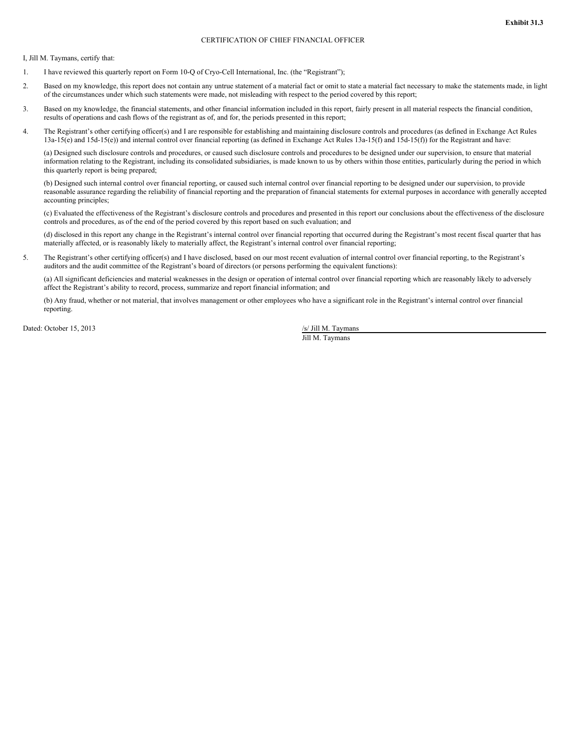#### CERTIFICATION OF CHIEF FINANCIAL OFFICER

I, Jill M. Taymans, certify that:

- 1. I have reviewed this quarterly report on Form 10-Q of Cryo-Cell International, Inc. (the "Registrant");
- 2. Based on my knowledge, this report does not contain any untrue statement of a material fact or omit to state a material fact necessary to make the statements made, in light of the circumstances under which such statements were made, not misleading with respect to the period covered by this report;
- 3. Based on my knowledge, the financial statements, and other financial information included in this report, fairly present in all material respects the financial condition, results of operations and cash flows of the registrant as of, and for, the periods presented in this report;
- 4. The Registrant's other certifying officer(s) and I are responsible for establishing and maintaining disclosure controls and procedures (as defined in Exchange Act Rules  $13a-15(e)$  and  $15d-15(e)$ ) and internal control over financial reporting (as defined in Exchange Act Rules  $13a-15(f)$  and  $15d-15(f)$ ) for the Registrant and have:

(a) Designed such disclosure controls and procedures, or caused such disclosure controls and procedures to be designed under our supervision, to ensure that material information relating to the Registrant, including its consolidated subsidiaries, is made known to us by others within those entities, particularly during the period in which this quarterly report is being prepared;

(b) Designed such internal control over financial reporting, or caused such internal control over financial reporting to be designed under our supervision, to provide reasonable assurance regarding the reliability of financial reporting and the preparation of financial statements for external purposes in accordance with generally accepted accounting principles;

(c) Evaluated the effectiveness of the Registrant's disclosure controls and procedures and presented in this report our conclusions about the effectiveness of the disclosure controls and procedures, as of the end of the period covered by this report based on such evaluation; and

(d) disclosed in this report any change in the Registrant's internal control over financial reporting that occurred during the Registrant's most recent fiscal quarter that has materially affected, or is reasonably likely to materially affect, the Registrant's internal control over financial reporting;

5. The Registrant's other certifying officer(s) and I have disclosed, based on our most recent evaluation of internal control over financial reporting, to the Registrant's auditors and the audit committee of the Registrant's board of directors (or persons performing the equivalent functions):

(a) All significant deficiencies and material weaknesses in the design or operation of internal control over financial reporting which are reasonably likely to adversely affect the Registrant's ability to record, process, summarize and report financial information; and

(b) Any fraud, whether or not material, that involves management or other employees who have a significant role in the Registrant's internal control over financial reporting.

Dated: October 15, 2013 /s/ Jill M. Taymans

Jill M. Taymans